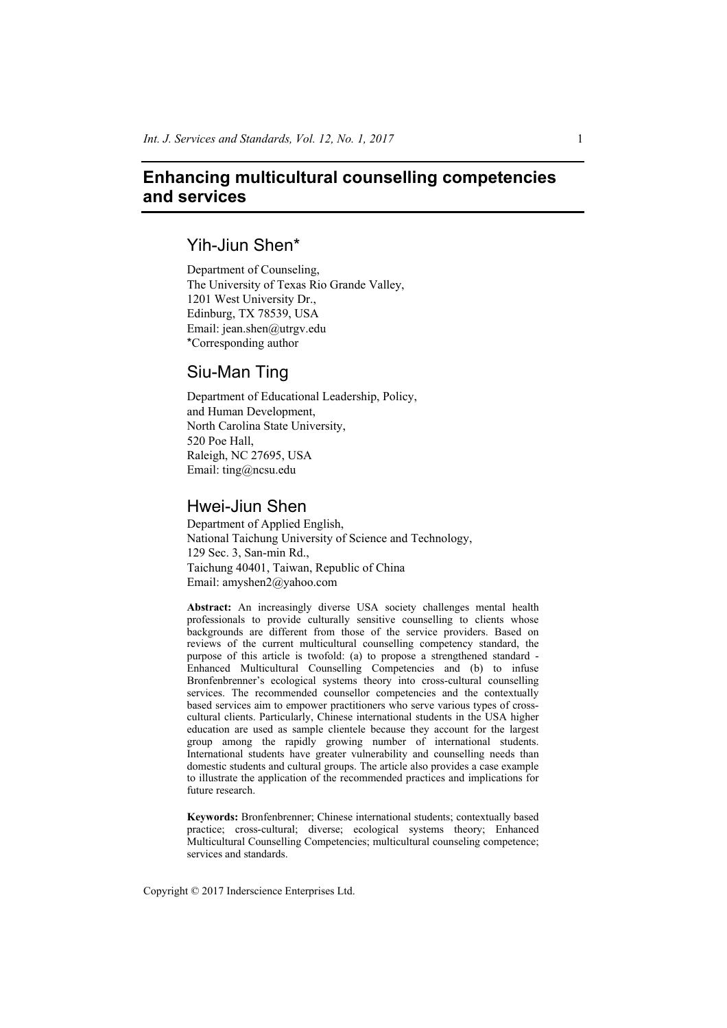# **Enhancing multicultural counselling competencies and services**

## Yih-Jiun Shen\*

Department of Counseling, The University of Texas Rio Grande Valley, 1201 West University Dr., Edinburg, TX 78539, USA Email: jean.shen@utrgv.edu \*Corresponding author

# Siu-Man Ting

Department of Educational Leadership, Policy, and Human Development, North Carolina State University, 520 Poe Hall, Raleigh, NC 27695, USA Email: ting@ncsu.edu

# Hwei-Jiun Shen

Department of Applied English, National Taichung University of Science and Technology, 129 Sec. 3, San-min Rd., Taichung 40401, Taiwan, Republic of China Email: amyshen2@yahoo.com

**Abstract:** An increasingly diverse USA society challenges mental health professionals to provide culturally sensitive counselling to clients whose backgrounds are different from those of the service providers. Based on reviews of the current multicultural counselling competency standard, the purpose of this article is twofold: (a) to propose a strengthened standard - Enhanced Multicultural Counselling Competencies and (b) to infuse Bronfenbrenner's ecological systems theory into cross-cultural counselling services. The recommended counsellor competencies and the contextually based services aim to empower practitioners who serve various types of crosscultural clients. Particularly, Chinese international students in the USA higher education are used as sample clientele because they account for the largest group among the rapidly growing number of international students. International students have greater vulnerability and counselling needs than domestic students and cultural groups. The article also provides a case example to illustrate the application of the recommended practices and implications for future research.

**Keywords:** Bronfenbrenner; Chinese international students; contextually based practice; cross-cultural; diverse; ecological systems theory; Enhanced Multicultural Counselling Competencies; multicultural counseling competence; services and standards.

Copyright © 2017 Inderscience Enterprises Ltd.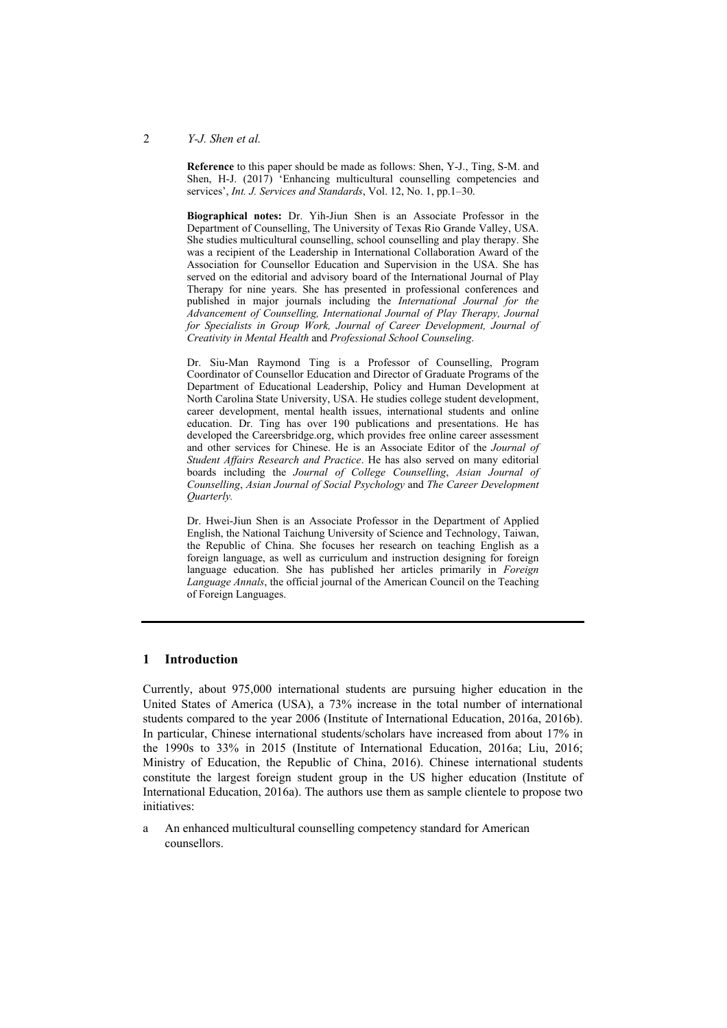**Reference** to this paper should be made as follows: Shen, Y-J., Ting, S-M. and Shen, H-J. (2017) 'Enhancing multicultural counselling competencies and services', *Int. J. Services and Standards*, Vol. 12, No. 1, pp.1–30.

**Biographical notes:** Dr. Yih-Jiun Shen is an Associate Professor in the Department of Counselling, The University of Texas Rio Grande Valley, USA. She studies multicultural counselling, school counselling and play therapy. She was a recipient of the Leadership in International Collaboration Award of the Association for Counsellor Education and Supervision in the USA. She has served on the editorial and advisory board of the International Journal of Play Therapy for nine years. She has presented in professional conferences and published in major journals including the *International Journal for the Advancement of Counselling, International Journal of Play Therapy, Journal for Specialists in Group Work, Journal of Career Development, Journal of Creativity in Mental Health* and *Professional School Counseling*.

Dr. Siu-Man Raymond Ting is a Professor of Counselling, Program Coordinator of Counsellor Education and Director of Graduate Programs of the Department of Educational Leadership, Policy and Human Development at North Carolina State University, USA. He studies college student development, career development, mental health issues, international students and online education. Dr. Ting has over 190 publications and presentations. He has developed the Careersbridge.org, which provides free online career assessment and other services for Chinese. He is an Associate Editor of the *Journal of Student Affairs Research and Practice*. He has also served on many editorial boards including the *Journal of College Counselling*, *Asian Journal of Counselling*, *Asian Journal of Social Psychology* and *The Career Development Quarterly.*

Dr. Hwei-Jiun Shen is an Associate Professor in the Department of Applied English, the National Taichung University of Science and Technology, Taiwan, the Republic of China. She focuses her research on teaching English as a foreign language, as well as curriculum and instruction designing for foreign language education. She has published her articles primarily in *Foreign Language Annals*, the official journal of the American Council on the Teaching of Foreign Languages.

#### **1 Introduction**

Currently, about 975,000 international students are pursuing higher education in the United States of America (USA), a 73% increase in the total number of international students compared to the year 2006 (Institute of International Education, 2016a, 2016b). In particular, Chinese international students/scholars have increased from about 17% in the 1990s to 33% in 2015 (Institute of International Education, 2016a; Liu, 2016; Ministry of Education, the Republic of China, 2016). Chinese international students constitute the largest foreign student group in the US higher education (Institute of International Education, 2016a). The authors use them as sample clientele to propose two initiatives:

a An enhanced multicultural counselling competency standard for American counsellors.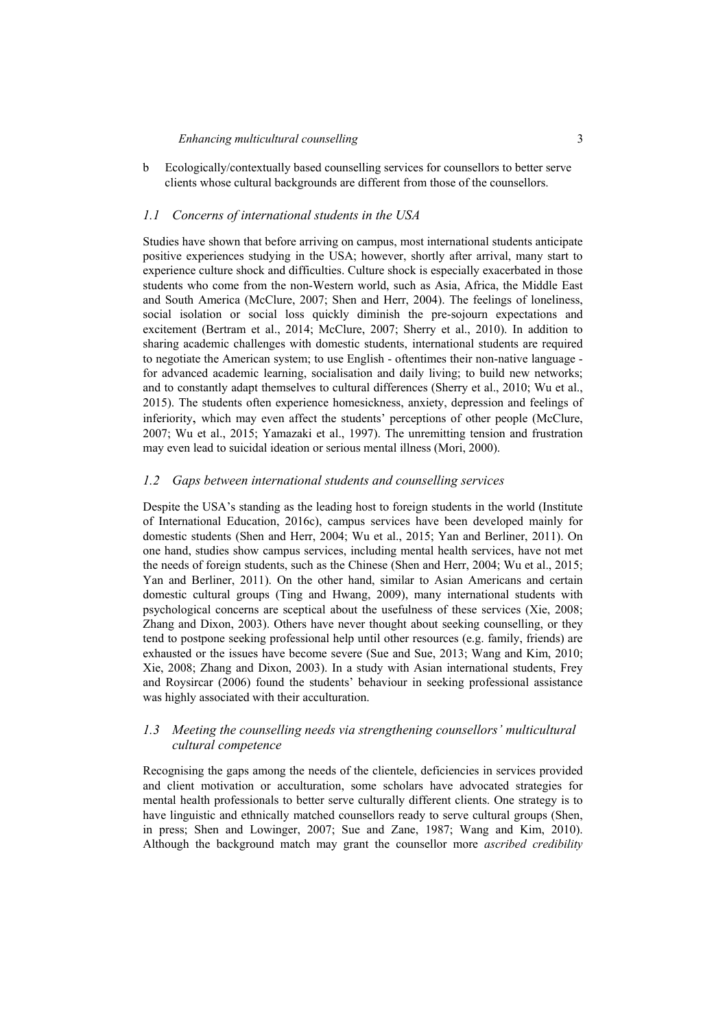## *Enhancing multicultural counselling* 3

b Ecologically/contextually based counselling services for counsellors to better serve clients whose cultural backgrounds are different from those of the counsellors.

#### *1.1 Concerns of international students in the USA*

Studies have shown that before arriving on campus, most international students anticipate positive experiences studying in the USA; however, shortly after arrival, many start to experience culture shock and difficulties. Culture shock is especially exacerbated in those students who come from the non-Western world, such as Asia, Africa, the Middle East and South America (McClure, 2007; Shen and Herr, 2004). The feelings of loneliness, social isolation or social loss quickly diminish the pre-sojourn expectations and excitement (Bertram et al., 2014; McClure, 2007; Sherry et al., 2010). In addition to sharing academic challenges with domestic students, international students are required to negotiate the American system; to use English - oftentimes their non-native language for advanced academic learning, socialisation and daily living; to build new networks; and to constantly adapt themselves to cultural differences (Sherry et al., 2010; Wu et al., 2015). The students often experience homesickness, anxiety, depression and feelings of inferiority, which may even affect the students' perceptions of other people (McClure, 2007; Wu et al., 2015; Yamazaki et al., 1997). The unremitting tension and frustration may even lead to suicidal ideation or serious mental illness (Mori, 2000).

#### *1.2 Gaps between international students and counselling services*

Despite the USA's standing as the leading host to foreign students in the world (Institute of International Education, 2016c), campus services have been developed mainly for domestic students (Shen and Herr, 2004; Wu et al., 2015; Yan and Berliner, 2011). On one hand, studies show campus services, including mental health services, have not met the needs of foreign students, such as the Chinese (Shen and Herr, 2004; Wu et al., 2015; Yan and Berliner, 2011). On the other hand, similar to Asian Americans and certain domestic cultural groups (Ting and Hwang, 2009), many international students with psychological concerns are sceptical about the usefulness of these services (Xie, 2008; Zhang and Dixon, 2003). Others have never thought about seeking counselling, or they tend to postpone seeking professional help until other resources (e.g. family, friends) are exhausted or the issues have become severe (Sue and Sue, 2013; Wang and Kim, 2010; Xie, 2008; Zhang and Dixon, 2003). In a study with Asian international students, Frey and Roysircar (2006) found the students' behaviour in seeking professional assistance was highly associated with their acculturation.

## *1.3 Meeting the counselling needs via strengthening counsellors' multicultural cultural competence*

Recognising the gaps among the needs of the clientele, deficiencies in services provided and client motivation or acculturation, some scholars have advocated strategies for mental health professionals to better serve culturally different clients. One strategy is to have linguistic and ethnically matched counsellors ready to serve cultural groups (Shen, in press; Shen and Lowinger, 2007; Sue and Zane, 1987; Wang and Kim, 2010). Although the background match may grant the counsellor more *ascribed credibility*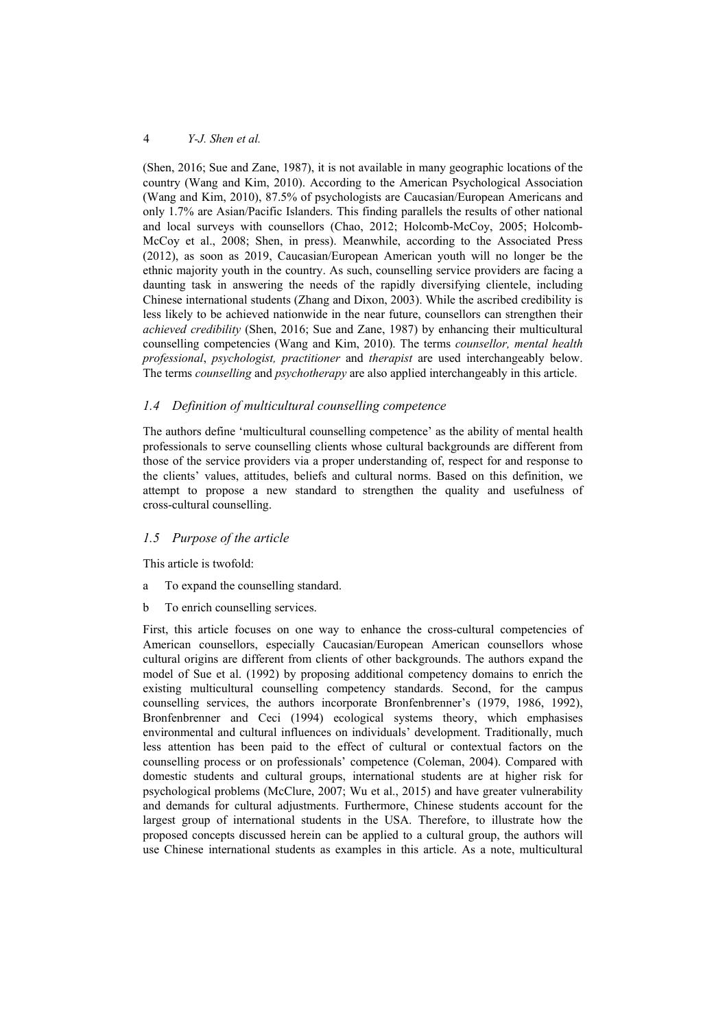(Shen, 2016; Sue and Zane, 1987), it is not available in many geographic locations of the country (Wang and Kim, 2010). According to the American Psychological Association (Wang and Kim, 2010), 87.5% of psychologists are Caucasian/European Americans and only 1.7% are Asian/Pacific Islanders. This finding parallels the results of other national and local surveys with counsellors (Chao, 2012; Holcomb-McCoy, 2005; Holcomb-McCoy et al., 2008; Shen, in press). Meanwhile, according to the Associated Press (2012), as soon as 2019, Caucasian/European American youth will no longer be the ethnic majority youth in the country. As such, counselling service providers are facing a daunting task in answering the needs of the rapidly diversifying clientele, including Chinese international students (Zhang and Dixon, 2003). While the ascribed credibility is less likely to be achieved nationwide in the near future, counsellors can strengthen their *achieved credibility* (Shen, 2016; Sue and Zane, 1987) by enhancing their multicultural counselling competencies (Wang and Kim, 2010). The terms *counsellor, mental health professional*, *psychologist, practitioner* and *therapist* are used interchangeably below. The terms *counselling* and *psychotherapy* are also applied interchangeably in this article.

## *1.4 Definition of multicultural counselling competence*

The authors define 'multicultural counselling competence' as the ability of mental health professionals to serve counselling clients whose cultural backgrounds are different from those of the service providers via a proper understanding of, respect for and response to the clients' values, attitudes, beliefs and cultural norms. Based on this definition, we attempt to propose a new standard to strengthen the quality and usefulness of cross-cultural counselling.

#### *1.5 Purpose of the article*

This article is twofold:

- a To expand the counselling standard.
- b To enrich counselling services.

First, this article focuses on one way to enhance the cross-cultural competencies of American counsellors, especially Caucasian/European American counsellors whose cultural origins are different from clients of other backgrounds. The authors expand the model of Sue et al. (1992) by proposing additional competency domains to enrich the existing multicultural counselling competency standards. Second, for the campus counselling services, the authors incorporate Bronfenbrenner's (1979, 1986, 1992), Bronfenbrenner and Ceci (1994) ecological systems theory, which emphasises environmental and cultural influences on individuals' development. Traditionally, much less attention has been paid to the effect of cultural or contextual factors on the counselling process or on professionals' competence (Coleman, 2004). Compared with domestic students and cultural groups, international students are at higher risk for psychological problems (McClure, 2007; Wu et al., 2015) and have greater vulnerability and demands for cultural adjustments. Furthermore, Chinese students account for the largest group of international students in the USA. Therefore, to illustrate how the proposed concepts discussed herein can be applied to a cultural group, the authors will use Chinese international students as examples in this article. As a note, multicultural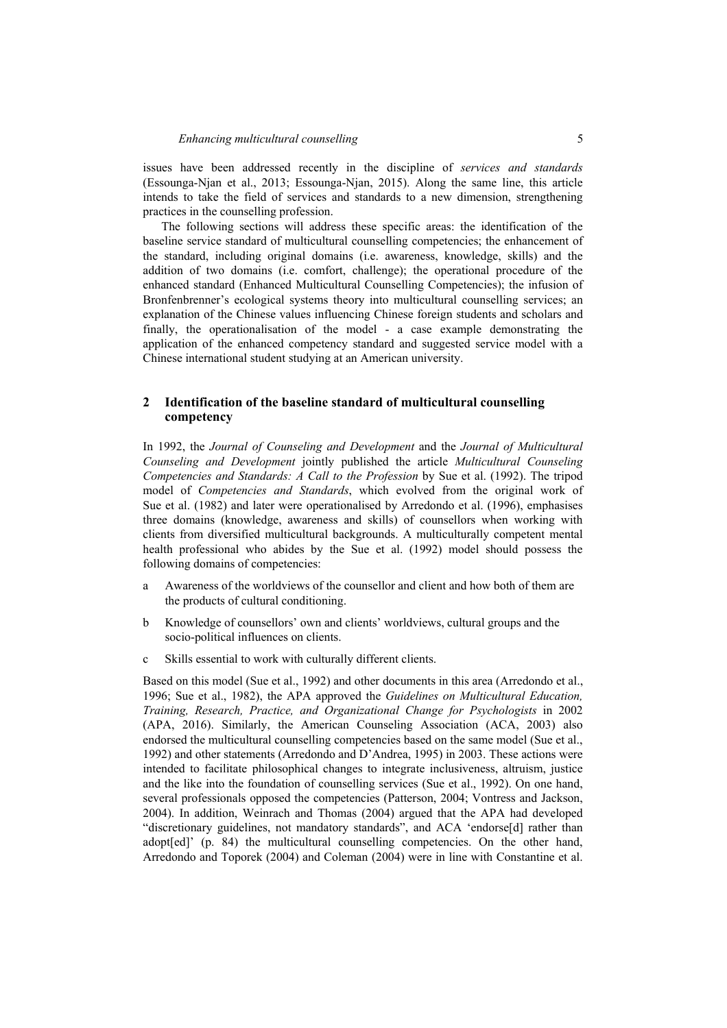issues have been addressed recently in the discipline of *services and standards* (Essounga-Njan et al., 2013; Essounga-Njan, 2015). Along the same line, this article intends to take the field of services and standards to a new dimension, strengthening practices in the counselling profession.

The following sections will address these specific areas: the identification of the baseline service standard of multicultural counselling competencies; the enhancement of the standard, including original domains (i.e. awareness, knowledge, skills) and the addition of two domains (i.e. comfort, challenge); the operational procedure of the enhanced standard (Enhanced Multicultural Counselling Competencies); the infusion of Bronfenbrenner's ecological systems theory into multicultural counselling services; an explanation of the Chinese values influencing Chinese foreign students and scholars and finally, the operationalisation of the model - a case example demonstrating the application of the enhanced competency standard and suggested service model with a Chinese international student studying at an American university.

## **2 Identification of the baseline standard of multicultural counselling competency**

In 1992, the *Journal of Counseling and Development* and the *Journal of Multicultural Counseling and Development* jointly published the article *Multicultural Counseling Competencies and Standards: A Call to the Profession* by Sue et al. (1992). The tripod model of *Competencies and Standards*, which evolved from the original work of Sue et al. (1982) and later were operationalised by Arredondo et al. (1996), emphasises three domains (knowledge, awareness and skills) of counsellors when working with clients from diversified multicultural backgrounds. A multiculturally competent mental health professional who abides by the Sue et al. (1992) model should possess the following domains of competencies:

- a Awareness of the worldviews of the counsellor and client and how both of them are the products of cultural conditioning.
- b Knowledge of counsellors' own and clients' worldviews, cultural groups and the socio-political influences on clients.
- c Skills essential to work with culturally different clients.

Based on this model (Sue et al., 1992) and other documents in this area (Arredondo et al., 1996; Sue et al., 1982), the APA approved the *Guidelines on Multicultural Education, Training, Research, Practice, and Organizational Change for Psychologists* in 2002 (APA, 2016). Similarly, the American Counseling Association (ACA, 2003) also endorsed the multicultural counselling competencies based on the same model (Sue et al., 1992) and other statements (Arredondo and D'Andrea, 1995) in 2003. These actions were intended to facilitate philosophical changes to integrate inclusiveness, altruism, justice and the like into the foundation of counselling services (Sue et al., 1992). On one hand, several professionals opposed the competencies (Patterson, 2004; Vontress and Jackson, 2004). In addition, Weinrach and Thomas (2004) argued that the APA had developed "discretionary guidelines, not mandatory standards", and ACA 'endorse[d] rather than adopt[ed]' (p. 84) the multicultural counselling competencies. On the other hand, Arredondo and Toporek (2004) and Coleman (2004) were in line with Constantine et al.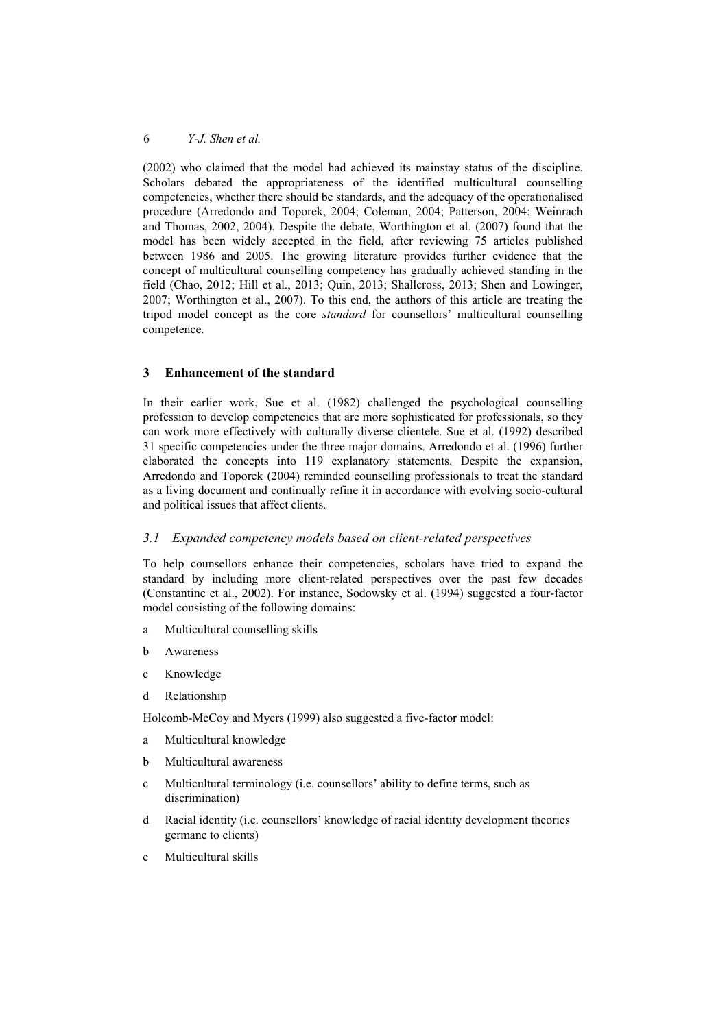(2002) who claimed that the model had achieved its mainstay status of the discipline. Scholars debated the appropriateness of the identified multicultural counselling competencies, whether there should be standards, and the adequacy of the operationalised procedure (Arredondo and Toporek, 2004; Coleman, 2004; Patterson, 2004; Weinrach and Thomas, 2002, 2004). Despite the debate, Worthington et al. (2007) found that the model has been widely accepted in the field, after reviewing 75 articles published between 1986 and 2005. The growing literature provides further evidence that the concept of multicultural counselling competency has gradually achieved standing in the field (Chao, 2012; Hill et al., 2013; Quin, 2013; Shallcross, 2013; Shen and Lowinger, 2007; Worthington et al., 2007). To this end, the authors of this article are treating the tripod model concept as the core *standard* for counsellors' multicultural counselling competence.

#### **3 Enhancement of the standard**

In their earlier work, Sue et al. (1982) challenged the psychological counselling profession to develop competencies that are more sophisticated for professionals, so they can work more effectively with culturally diverse clientele. Sue et al. (1992) described 31 specific competencies under the three major domains. Arredondo et al. (1996) further elaborated the concepts into 119 explanatory statements. Despite the expansion, Arredondo and Toporek (2004) reminded counselling professionals to treat the standard as a living document and continually refine it in accordance with evolving socio-cultural and political issues that affect clients.

#### *3.1 Expanded competency models based on client-related perspectives*

To help counsellors enhance their competencies, scholars have tried to expand the standard by including more client-related perspectives over the past few decades (Constantine et al., 2002). For instance, Sodowsky et al. (1994) suggested a four-factor model consisting of the following domains:

- a Multicultural counselling skills
- b Awareness
- c Knowledge
- d Relationship

Holcomb-McCoy and Myers (1999) also suggested a five-factor model:

- a Multicultural knowledge
- b Multicultural awareness
- c Multicultural terminology (i.e. counsellors' ability to define terms, such as discrimination)
- d Racial identity (i.e. counsellors' knowledge of racial identity development theories germane to clients)
- e Multicultural skills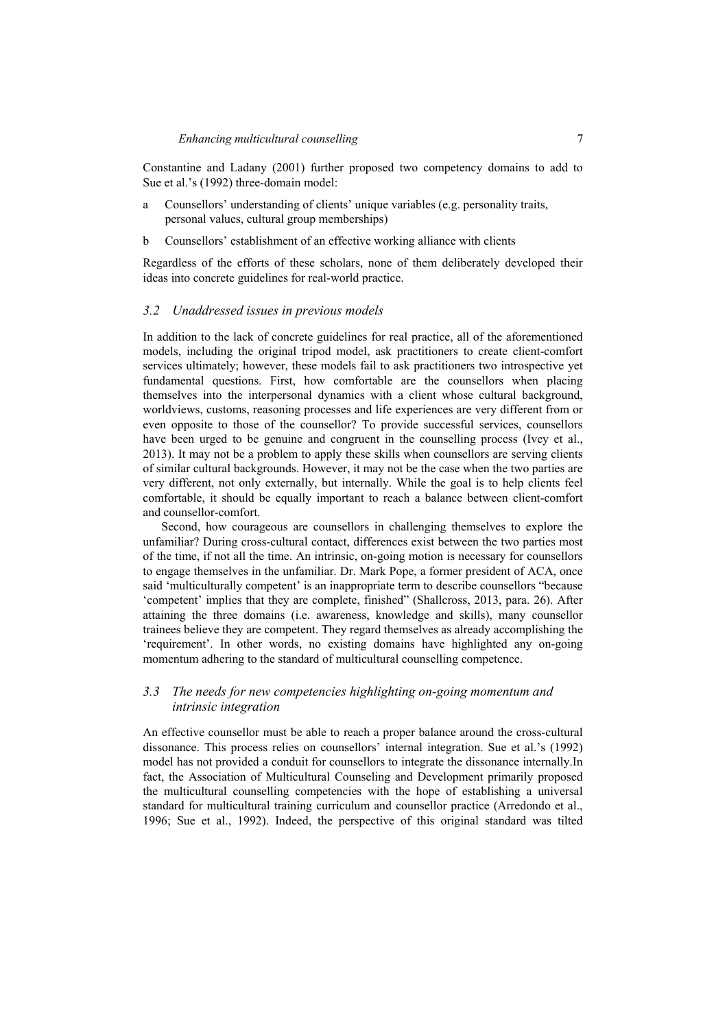Constantine and Ladany (2001) further proposed two competency domains to add to Sue et al.'s (1992) three-domain model:

- a Counsellors' understanding of clients' unique variables (e.g. personality traits, personal values, cultural group memberships)
- b Counsellors' establishment of an effective working alliance with clients

Regardless of the efforts of these scholars, none of them deliberately developed their ideas into concrete guidelines for real-world practice.

#### *3.2 Unaddressed issues in previous models*

In addition to the lack of concrete guidelines for real practice, all of the aforementioned models, including the original tripod model, ask practitioners to create client-comfort services ultimately; however, these models fail to ask practitioners two introspective yet fundamental questions. First, how comfortable are the counsellors when placing themselves into the interpersonal dynamics with a client whose cultural background, worldviews, customs, reasoning processes and life experiences are very different from or even opposite to those of the counsellor? To provide successful services, counsellors have been urged to be genuine and congruent in the counselling process (Ivey et al., 2013). It may not be a problem to apply these skills when counsellors are serving clients of similar cultural backgrounds. However, it may not be the case when the two parties are very different, not only externally, but internally. While the goal is to help clients feel comfortable, it should be equally important to reach a balance between client-comfort and counsellor-comfort.

Second, how courageous are counsellors in challenging themselves to explore the unfamiliar? During cross-cultural contact, differences exist between the two parties most of the time, if not all the time. An intrinsic, on-going motion is necessary for counsellors to engage themselves in the unfamiliar. Dr. Mark Pope, a former president of ACA, once said 'multiculturally competent' is an inappropriate term to describe counsellors "because 'competent' implies that they are complete, finished" (Shallcross, 2013, para. 26). After attaining the three domains (i.e. awareness, knowledge and skills), many counsellor trainees believe they are competent. They regard themselves as already accomplishing the 'requirement'. In other words, no existing domains have highlighted any on-going momentum adhering to the standard of multicultural counselling competence.

## *3.3 The needs for new competencies highlighting on-going momentum and intrinsic integration*

An effective counsellor must be able to reach a proper balance around the cross-cultural dissonance. This process relies on counsellors' internal integration. Sue et al.'s (1992) model has not provided a conduit for counsellors to integrate the dissonance internally.In fact, the Association of Multicultural Counseling and Development primarily proposed the multicultural counselling competencies with the hope of establishing a universal standard for multicultural training curriculum and counsellor practice (Arredondo et al., 1996; Sue et al., 1992). Indeed, the perspective of this original standard was tilted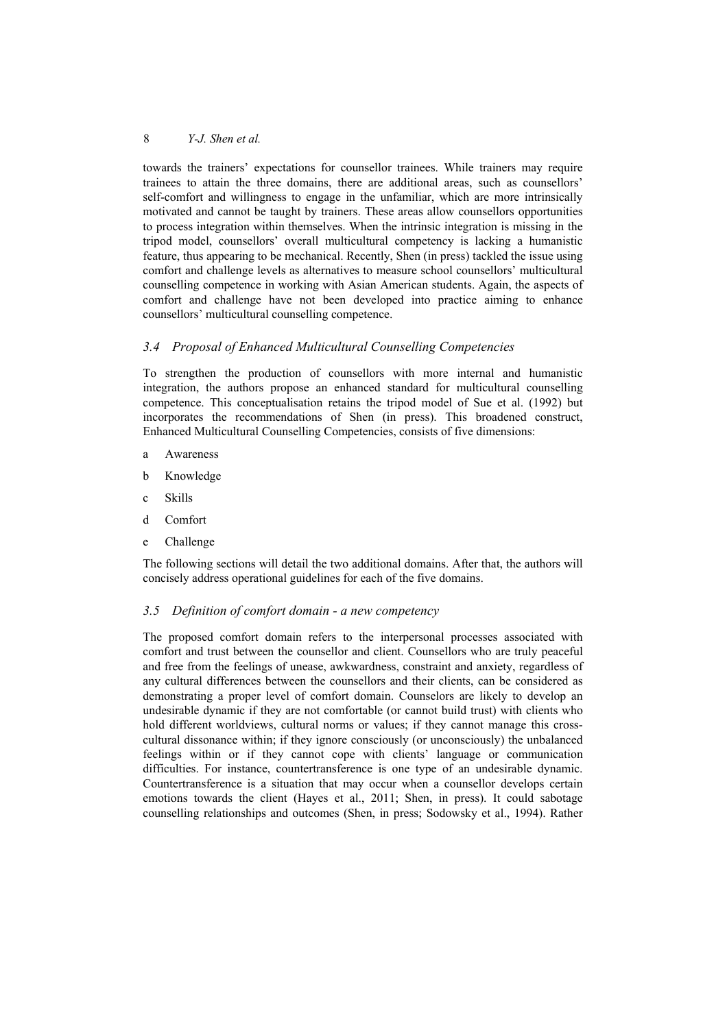towards the trainers' expectations for counsellor trainees. While trainers may require trainees to attain the three domains, there are additional areas, such as counsellors' self-comfort and willingness to engage in the unfamiliar, which are more intrinsically motivated and cannot be taught by trainers. These areas allow counsellors opportunities to process integration within themselves. When the intrinsic integration is missing in the tripod model, counsellors' overall multicultural competency is lacking a humanistic feature, thus appearing to be mechanical. Recently, Shen (in press) tackled the issue using comfort and challenge levels as alternatives to measure school counsellors' multicultural counselling competence in working with Asian American students. Again, the aspects of comfort and challenge have not been developed into practice aiming to enhance counsellors' multicultural counselling competence.

## *3.4 Proposal of Enhanced Multicultural Counselling Competencies*

To strengthen the production of counsellors with more internal and humanistic integration, the authors propose an enhanced standard for multicultural counselling competence. This conceptualisation retains the tripod model of Sue et al. (1992) but incorporates the recommendations of Shen (in press). This broadened construct, Enhanced Multicultural Counselling Competencies, consists of five dimensions:

- a Awareness
- b Knowledge
- c Skills
- d Comfort
- e Challenge

The following sections will detail the two additional domains. After that, the authors will concisely address operational guidelines for each of the five domains.

## *3.5 Definition of comfort domain - a new competency*

The proposed comfort domain refers to the interpersonal processes associated with comfort and trust between the counsellor and client. Counsellors who are truly peaceful and free from the feelings of unease, awkwardness, constraint and anxiety, regardless of any cultural differences between the counsellors and their clients, can be considered as demonstrating a proper level of comfort domain. Counselors are likely to develop an undesirable dynamic if they are not comfortable (or cannot build trust) with clients who hold different worldviews, cultural norms or values; if they cannot manage this crosscultural dissonance within; if they ignore consciously (or unconsciously) the unbalanced feelings within or if they cannot cope with clients' language or communication difficulties. For instance, countertransference is one type of an undesirable dynamic. Countertransference is a situation that may occur when a counsellor develops certain emotions towards the client (Hayes et al., 2011; Shen, in press). It could sabotage counselling relationships and outcomes (Shen, in press; Sodowsky et al., 1994). Rather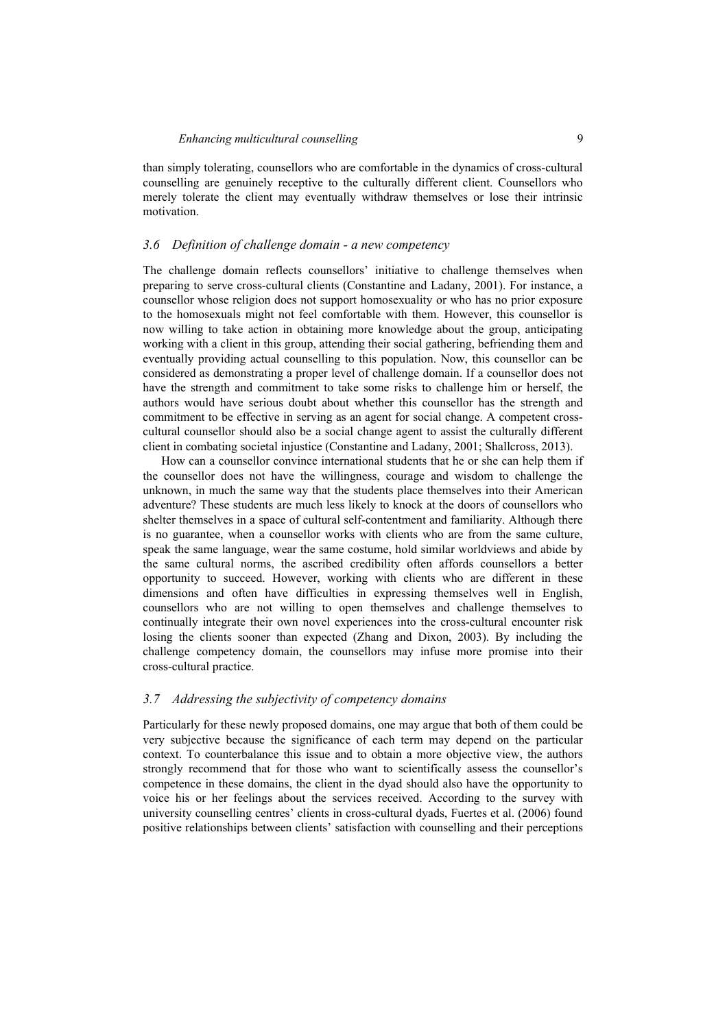than simply tolerating, counsellors who are comfortable in the dynamics of cross-cultural counselling are genuinely receptive to the culturally different client. Counsellors who merely tolerate the client may eventually withdraw themselves or lose their intrinsic motivation.

#### *3.6 Definition of challenge domain - a new competency*

The challenge domain reflects counsellors' initiative to challenge themselves when preparing to serve cross-cultural clients (Constantine and Ladany, 2001). For instance, a counsellor whose religion does not support homosexuality or who has no prior exposure to the homosexuals might not feel comfortable with them. However, this counsellor is now willing to take action in obtaining more knowledge about the group, anticipating working with a client in this group, attending their social gathering, befriending them and eventually providing actual counselling to this population. Now, this counsellor can be considered as demonstrating a proper level of challenge domain. If a counsellor does not have the strength and commitment to take some risks to challenge him or herself, the authors would have serious doubt about whether this counsellor has the strength and commitment to be effective in serving as an agent for social change. A competent crosscultural counsellor should also be a social change agent to assist the culturally different client in combating societal injustice (Constantine and Ladany, 2001; Shallcross, 2013).

How can a counsellor convince international students that he or she can help them if the counsellor does not have the willingness, courage and wisdom to challenge the unknown, in much the same way that the students place themselves into their American adventure? These students are much less likely to knock at the doors of counsellors who shelter themselves in a space of cultural self-contentment and familiarity. Although there is no guarantee, when a counsellor works with clients who are from the same culture, speak the same language, wear the same costume, hold similar worldviews and abide by the same cultural norms, the ascribed credibility often affords counsellors a better opportunity to succeed. However, working with clients who are different in these dimensions and often have difficulties in expressing themselves well in English, counsellors who are not willing to open themselves and challenge themselves to continually integrate their own novel experiences into the cross-cultural encounter risk losing the clients sooner than expected (Zhang and Dixon, 2003). By including the challenge competency domain, the counsellors may infuse more promise into their cross-cultural practice.

## *3.7 Addressing the subjectivity of competency domains*

Particularly for these newly proposed domains, one may argue that both of them could be very subjective because the significance of each term may depend on the particular context. To counterbalance this issue and to obtain a more objective view, the authors strongly recommend that for those who want to scientifically assess the counsellor's competence in these domains, the client in the dyad should also have the opportunity to voice his or her feelings about the services received. According to the survey with university counselling centres' clients in cross-cultural dyads, Fuertes et al. (2006) found positive relationships between clients' satisfaction with counselling and their perceptions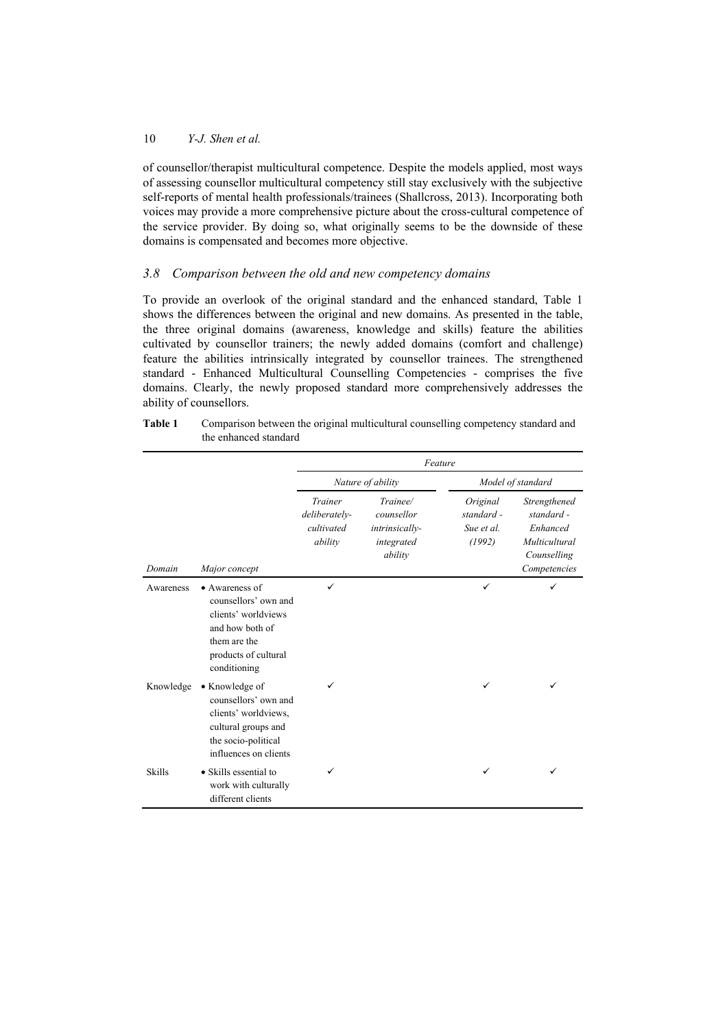of counsellor/therapist multicultural competence. Despite the models applied, most ways of assessing counsellor multicultural competency still stay exclusively with the subjective self-reports of mental health professionals/trainees (Shallcross, 2013). Incorporating both voices may provide a more comprehensive picture about the cross-cultural competence of the service provider. By doing so, what originally seems to be the downside of these domains is compensated and becomes more objective.

## *3.8 Comparison between the old and new competency domains*

To provide an overlook of the original standard and the enhanced standard, Table 1 shows the differences between the original and new domains. As presented in the table, the three original domains (awareness, knowledge and skills) feature the abilities cultivated by counsellor trainers; the newly added domains (comfort and challenge) feature the abilities intrinsically integrated by counsellor trainees. The strengthened standard - Enhanced Multicultural Counselling Competencies - comprises the five domains. Clearly, the newly proposed standard more comprehensively addresses the ability of counsellors.

|               |                                                                                                                                          | Feature                                           |                                                                   |                                                |                                                                                        |  |
|---------------|------------------------------------------------------------------------------------------------------------------------------------------|---------------------------------------------------|-------------------------------------------------------------------|------------------------------------------------|----------------------------------------------------------------------------------------|--|
|               |                                                                                                                                          | Nature of ability                                 |                                                                   | Model of standard                              |                                                                                        |  |
| Domain        | Major concept                                                                                                                            | Trainer<br>deliberately-<br>cultivated<br>ability | Trainee/<br>counsellor<br>intrinsically-<br>integrated<br>ability | Original<br>standard -<br>Sue et al.<br>(1992) | Strengthened<br>standard -<br>Enhanced<br>Multicultural<br>Counselling<br>Competencies |  |
| Awareness     | • Awareness of<br>counsellors' own and<br>clients' worldviews<br>and how both of<br>them are the<br>products of cultural<br>conditioning | ✓                                                 |                                                                   | ✓                                              | ✓                                                                                      |  |
| Knowledge     | • Knowledge of<br>counsellors' own and<br>clients' worldviews,<br>cultural groups and<br>the socio-political<br>influences on clients    | ✓                                                 |                                                                   | ✓                                              |                                                                                        |  |
| <b>Skills</b> | • Skills essential to<br>work with culturally<br>different clients                                                                       | ✓                                                 |                                                                   | ✓                                              |                                                                                        |  |

| Table 1 | Comparison between the original multicultural counselling competency standard and |
|---------|-----------------------------------------------------------------------------------|
|         | the enhanced standard                                                             |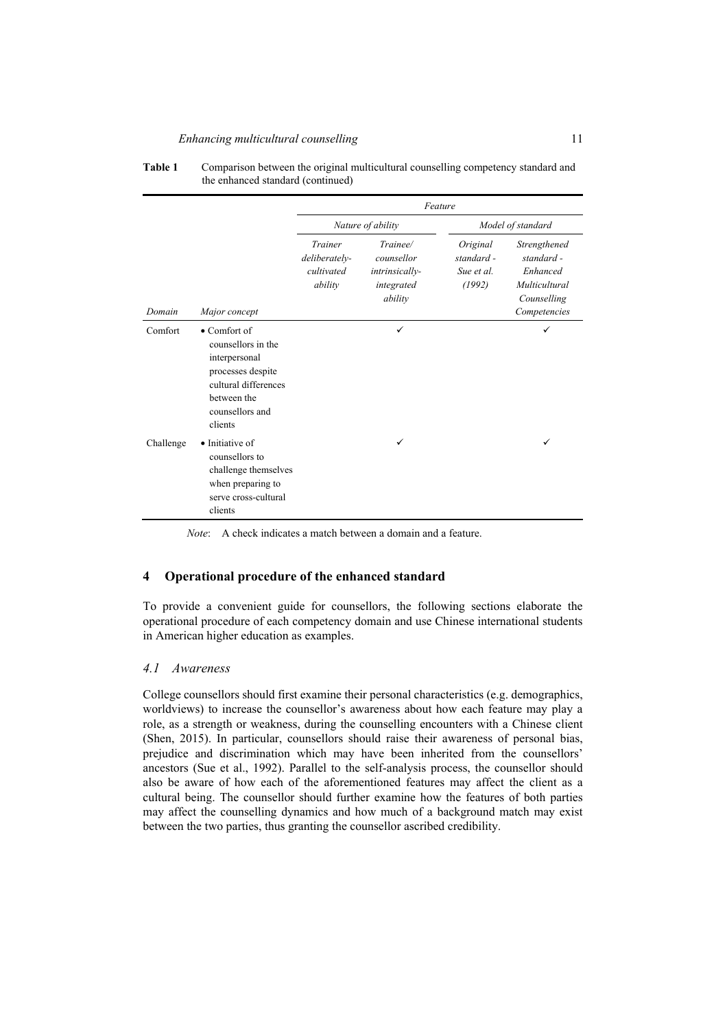#### *Enhancing multicultural counselling* 11

|           |                                                                                                                                                       | Feature                                           |                                                                   |                                                |                                                                                        |  |
|-----------|-------------------------------------------------------------------------------------------------------------------------------------------------------|---------------------------------------------------|-------------------------------------------------------------------|------------------------------------------------|----------------------------------------------------------------------------------------|--|
|           |                                                                                                                                                       | Nature of ability                                 |                                                                   | Model of standard                              |                                                                                        |  |
| Domain    | Major concept                                                                                                                                         | Trainer<br>deliberately-<br>cultivated<br>ability | Trainee/<br>counsellor<br>intrinsically-<br>integrated<br>ability | Original<br>standard -<br>Sue et al.<br>(1992) | Strengthened<br>standard -<br>Enhanced<br>Multicultural<br>Counselling<br>Competencies |  |
| Comfort   | $\bullet$ Comfort of<br>counsellors in the<br>interpersonal<br>processes despite<br>cultural differences<br>between the<br>counsellors and<br>clients |                                                   | ✓                                                                 |                                                | ✓                                                                                      |  |
| Challenge | • Initiative of<br>counsellors to<br>challenge themselves<br>when preparing to<br>serve cross-cultural<br>clients                                     |                                                   | ✓                                                                 |                                                | ✓                                                                                      |  |

#### **Table 1** Comparison between the original multicultural counselling competency standard and the enhanced standard (continued)

*Note*: A check indicates a match between a domain and a feature.

## **4 Operational procedure of the enhanced standard**

To provide a convenient guide for counsellors, the following sections elaborate the operational procedure of each competency domain and use Chinese international students in American higher education as examples.

## *4.1 Awareness*

College counsellors should first examine their personal characteristics (e.g. demographics, worldviews) to increase the counsellor's awareness about how each feature may play a role, as a strength or weakness, during the counselling encounters with a Chinese client (Shen, 2015). In particular, counsellors should raise their awareness of personal bias, prejudice and discrimination which may have been inherited from the counsellors' ancestors (Sue et al., 1992). Parallel to the self-analysis process, the counsellor should also be aware of how each of the aforementioned features may affect the client as a cultural being. The counsellor should further examine how the features of both parties may affect the counselling dynamics and how much of a background match may exist between the two parties, thus granting the counsellor ascribed credibility.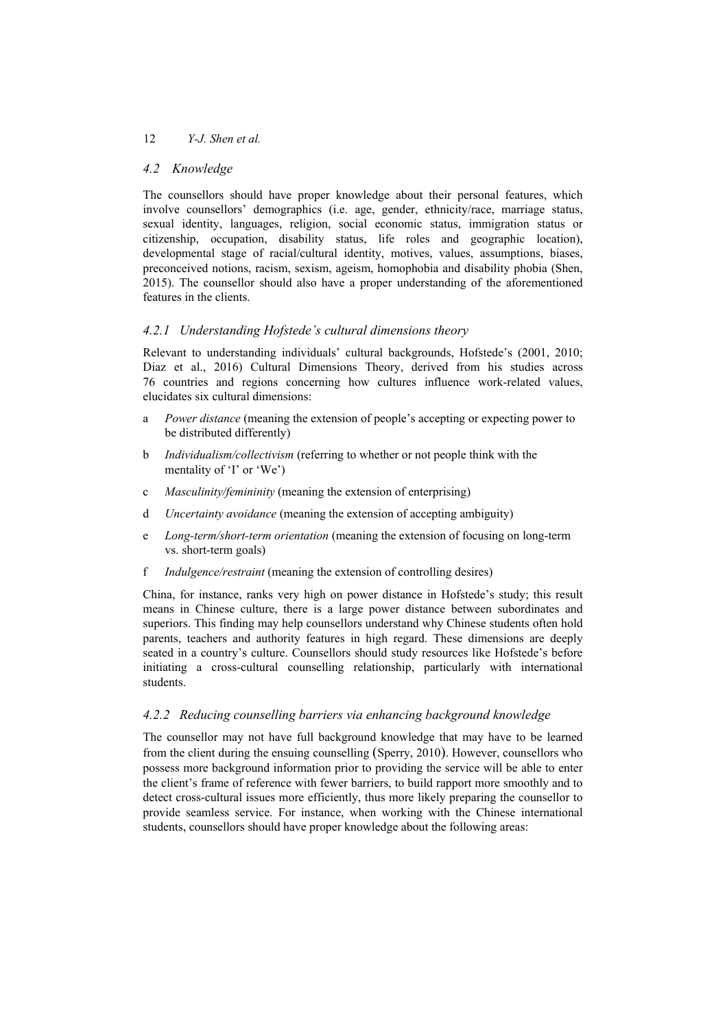#### *4.2 Knowledge*

The counsellors should have proper knowledge about their personal features, which involve counsellors' demographics (i.e. age, gender, ethnicity/race, marriage status, sexual identity, languages, religion, social economic status, immigration status or citizenship, occupation, disability status, life roles and geographic location), developmental stage of racial/cultural identity, motives, values, assumptions, biases, preconceived notions, racism, sexism, ageism, homophobia and disability phobia (Shen, 2015). The counsellor should also have a proper understanding of the aforementioned features in the clients.

## *4.2.1 Understanding Hofstede's cultural dimensions theory*

Relevant to understanding individuals' cultural backgrounds, Hofstede's (2001, 2010; Diaz et al., 2016) Cultural Dimensions Theory, derived from his studies across 76 countries and regions concerning how cultures influence work-related values, elucidates six cultural dimensions:

- a *Power distance* (meaning the extension of people's accepting or expecting power to be distributed differently)
- b *Individualism/collectivism* (referring to whether or not people think with the mentality of 'I' or 'We')
- c *Masculinity/femininity* (meaning the extension of enterprising)
- d *Uncertainty avoidance* (meaning the extension of accepting ambiguity)
- e *Long-term/short-term orientation* (meaning the extension of focusing on long-term vs. short-term goals)
- f *Indulgence/restraint* (meaning the extension of controlling desires)

China, for instance, ranks very high on power distance in Hofstede's study; this result means in Chinese culture, there is a large power distance between subordinates and superiors. This finding may help counsellors understand why Chinese students often hold parents, teachers and authority features in high regard. These dimensions are deeply seated in a country's culture. Counsellors should study resources like Hofstede's before initiating a cross-cultural counselling relationship, particularly with international students.

## *4.2.2 Reducing counselling barriers via enhancing background knowledge*

The counsellor may not have full background knowledge that may have to be learned from the client during the ensuing counselling (Sperry, 2010). However, counsellors who possess more background information prior to providing the service will be able to enter the client's frame of reference with fewer barriers, to build rapport more smoothly and to detect cross-cultural issues more efficiently, thus more likely preparing the counsellor to provide seamless service. For instance, when working with the Chinese international students, counsellors should have proper knowledge about the following areas: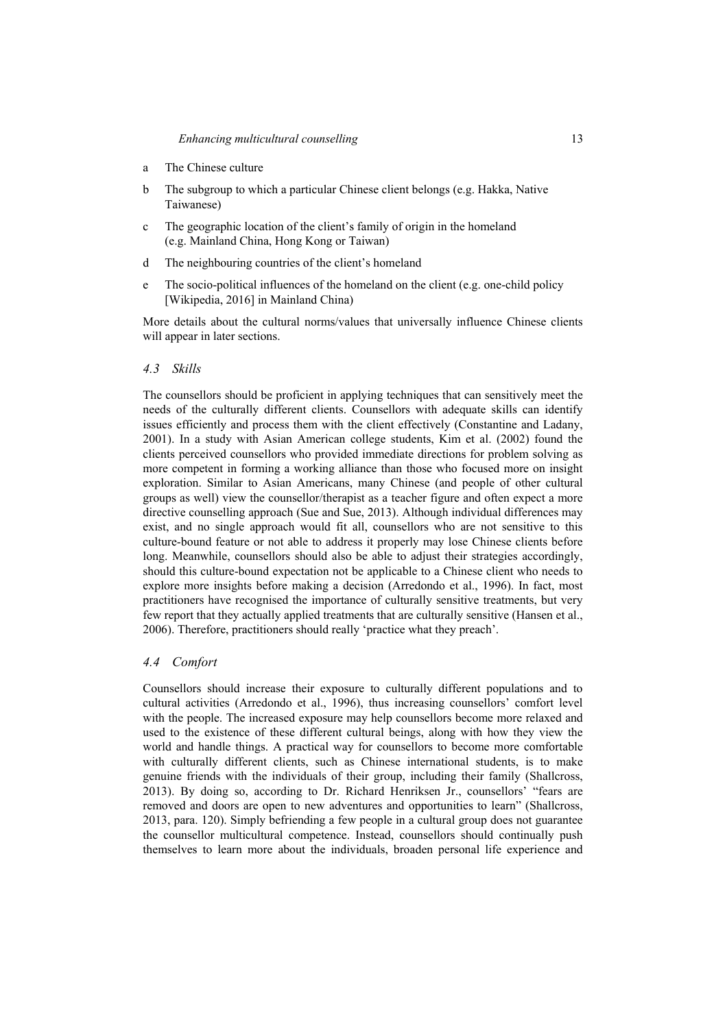- a The Chinese culture
- b The subgroup to which a particular Chinese client belongs (e.g. Hakka, Native Taiwanese)
- c The geographic location of the client's family of origin in the homeland (e.g. Mainland China, Hong Kong or Taiwan)
- d The neighbouring countries of the client's homeland
- e The socio-political influences of the homeland on the client (e.g. one-child policy [Wikipedia, 2016] in Mainland China)

More details about the cultural norms/values that universally influence Chinese clients will appear in later sections.

#### *4.3 Skills*

The counsellors should be proficient in applying techniques that can sensitively meet the needs of the culturally different clients. Counsellors with adequate skills can identify issues efficiently and process them with the client effectively (Constantine and Ladany, 2001). In a study with Asian American college students, Kim et al. (2002) found the clients perceived counsellors who provided immediate directions for problem solving as more competent in forming a working alliance than those who focused more on insight exploration. Similar to Asian Americans, many Chinese (and people of other cultural groups as well) view the counsellor/therapist as a teacher figure and often expect a more directive counselling approach (Sue and Sue, 2013). Although individual differences may exist, and no single approach would fit all, counsellors who are not sensitive to this culture-bound feature or not able to address it properly may lose Chinese clients before long. Meanwhile, counsellors should also be able to adjust their strategies accordingly, should this culture-bound expectation not be applicable to a Chinese client who needs to explore more insights before making a decision (Arredondo et al., 1996). In fact, most practitioners have recognised the importance of culturally sensitive treatments, but very few report that they actually applied treatments that are culturally sensitive (Hansen et al., 2006). Therefore, practitioners should really 'practice what they preach'.

## *4.4 Comfort*

Counsellors should increase their exposure to culturally different populations and to cultural activities (Arredondo et al., 1996), thus increasing counsellors' comfort level with the people. The increased exposure may help counsellors become more relaxed and used to the existence of these different cultural beings, along with how they view the world and handle things. A practical way for counsellors to become more comfortable with culturally different clients, such as Chinese international students, is to make genuine friends with the individuals of their group, including their family (Shallcross, 2013). By doing so, according to Dr. Richard Henriksen Jr., counsellors' "fears are removed and doors are open to new adventures and opportunities to learn" (Shallcross, 2013, para. 120). Simply befriending a few people in a cultural group does not guarantee the counsellor multicultural competence. Instead, counsellors should continually push themselves to learn more about the individuals, broaden personal life experience and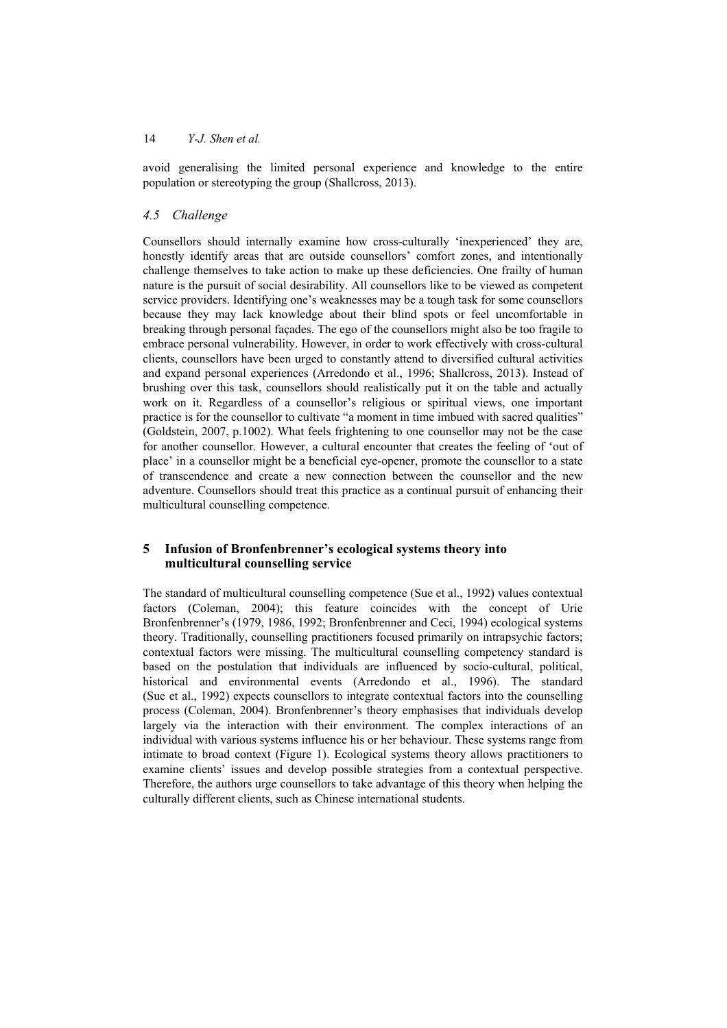avoid generalising the limited personal experience and knowledge to the entire population or stereotyping the group (Shallcross, 2013).

#### *4.5 Challenge*

Counsellors should internally examine how cross-culturally 'inexperienced' they are, honestly identify areas that are outside counsellors' comfort zones, and intentionally challenge themselves to take action to make up these deficiencies. One frailty of human nature is the pursuit of social desirability. All counsellors like to be viewed as competent service providers. Identifying one's weaknesses may be a tough task for some counsellors because they may lack knowledge about their blind spots or feel uncomfortable in breaking through personal façades. The ego of the counsellors might also be too fragile to embrace personal vulnerability. However, in order to work effectively with cross-cultural clients, counsellors have been urged to constantly attend to diversified cultural activities and expand personal experiences (Arredondo et al., 1996; Shallcross, 2013). Instead of brushing over this task, counsellors should realistically put it on the table and actually work on it. Regardless of a counsellor's religious or spiritual views, one important practice is for the counsellor to cultivate "a moment in time imbued with sacred qualities" (Goldstein, 2007, p.1002). What feels frightening to one counsellor may not be the case for another counsellor. However, a cultural encounter that creates the feeling of 'out of place' in a counsellor might be a beneficial eye-opener, promote the counsellor to a state of transcendence and create a new connection between the counsellor and the new adventure. Counsellors should treat this practice as a continual pursuit of enhancing their multicultural counselling competence.

## **5 Infusion of Bronfenbrenner's ecological systems theory into multicultural counselling service**

The standard of multicultural counselling competence (Sue et al., 1992) values contextual factors (Coleman, 2004); this feature coincides with the concept of Urie Bronfenbrenner's (1979, 1986, 1992; Bronfenbrenner and Ceci, 1994) ecological systems theory. Traditionally, counselling practitioners focused primarily on intrapsychic factors; contextual factors were missing. The multicultural counselling competency standard is based on the postulation that individuals are influenced by socio-cultural, political, historical and environmental events (Arredondo et al., 1996). The standard (Sue et al., 1992) expects counsellors to integrate contextual factors into the counselling process (Coleman, 2004). Bronfenbrenner's theory emphasises that individuals develop largely via the interaction with their environment. The complex interactions of an individual with various systems influence his or her behaviour. These systems range from intimate to broad context (Figure 1). Ecological systems theory allows practitioners to examine clients' issues and develop possible strategies from a contextual perspective. Therefore, the authors urge counsellors to take advantage of this theory when helping the culturally different clients, such as Chinese international students.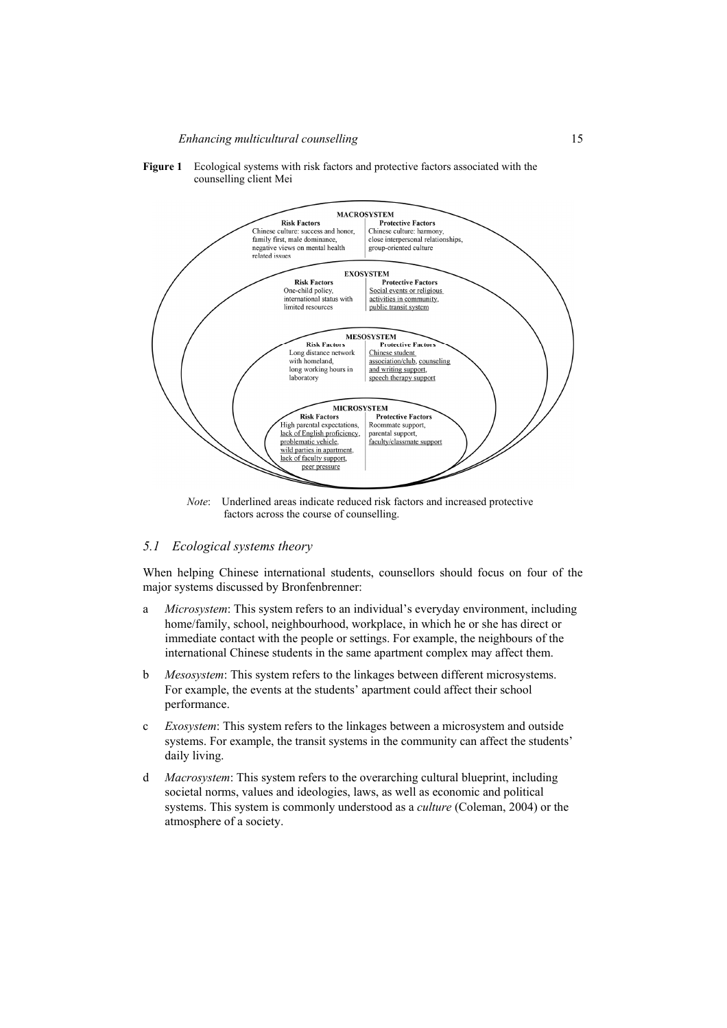#### *Enhancing multicultural counselling* 15



#### **Figure 1** Ecological systems with risk factors and protective factors associated with the counselling client Mei

*Note*: Underlined areas indicate reduced risk factors and increased protective factors across the course of counselling.

## *5.1 Ecological systems theory*

When helping Chinese international students, counsellors should focus on four of the major systems discussed by Bronfenbrenner:

- a *Microsystem*: This system refers to an individual's everyday environment, including home/family, school, neighbourhood, workplace, in which he or she has direct or immediate contact with the people or settings. For example, the neighbours of the international Chinese students in the same apartment complex may affect them.
- b *Mesosystem*: This system refers to the linkages between different microsystems. For example, the events at the students' apartment could affect their school performance.
- c *Exosystem*: This system refers to the linkages between a microsystem and outside systems. For example, the transit systems in the community can affect the students' daily living.
- d *Macrosystem*: This system refers to the overarching cultural blueprint, including societal norms, values and ideologies, laws, as well as economic and political systems. This system is commonly understood as a *culture* (Coleman, 2004) or the atmosphere of a society.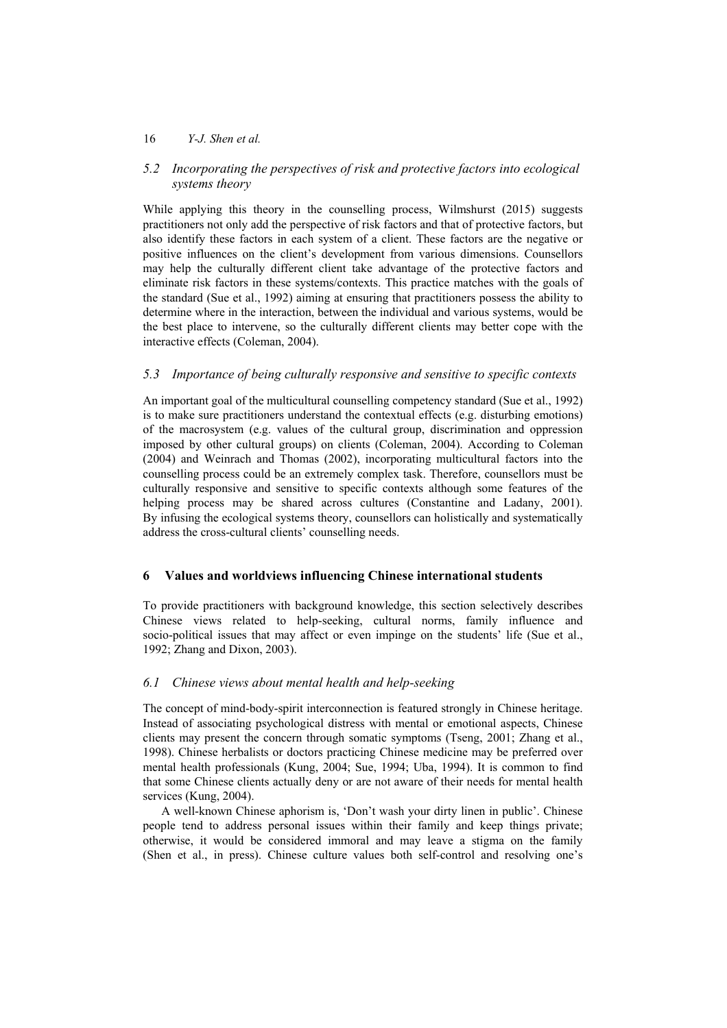## *5.2 Incorporating the perspectives of risk and protective factors into ecological systems theory*

While applying this theory in the counselling process, Wilmshurst (2015) suggests practitioners not only add the perspective of risk factors and that of protective factors, but also identify these factors in each system of a client. These factors are the negative or positive influences on the client's development from various dimensions. Counsellors may help the culturally different client take advantage of the protective factors and eliminate risk factors in these systems/contexts. This practice matches with the goals of the standard (Sue et al., 1992) aiming at ensuring that practitioners possess the ability to determine where in the interaction, between the individual and various systems, would be the best place to intervene, so the culturally different clients may better cope with the interactive effects (Coleman, 2004).

## *5.3 Importance of being culturally responsive and sensitive to specific contexts*

An important goal of the multicultural counselling competency standard (Sue et al., 1992) is to make sure practitioners understand the contextual effects (e.g. disturbing emotions) of the macrosystem (e.g. values of the cultural group, discrimination and oppression imposed by other cultural groups) on clients (Coleman, 2004). According to Coleman (2004) and Weinrach and Thomas (2002), incorporating multicultural factors into the counselling process could be an extremely complex task. Therefore, counsellors must be culturally responsive and sensitive to specific contexts although some features of the helping process may be shared across cultures (Constantine and Ladany, 2001). By infusing the ecological systems theory, counsellors can holistically and systematically address the cross-cultural clients' counselling needs.

## **6 Values and worldviews influencing Chinese international students**

To provide practitioners with background knowledge, this section selectively describes Chinese views related to help-seeking, cultural norms, family influence and socio-political issues that may affect or even impinge on the students' life (Sue et al., 1992; Zhang and Dixon, 2003).

## *6.1 Chinese views about mental health and help-seeking*

The concept of mind-body-spirit interconnection is featured strongly in Chinese heritage. Instead of associating psychological distress with mental or emotional aspects, Chinese clients may present the concern through somatic symptoms (Tseng, 2001; Zhang et al., 1998). Chinese herbalists or doctors practicing Chinese medicine may be preferred over mental health professionals (Kung, 2004; Sue, 1994; Uba, 1994). It is common to find that some Chinese clients actually deny or are not aware of their needs for mental health services (Kung, 2004).

A well-known Chinese aphorism is, 'Don't wash your dirty linen in public'. Chinese people tend to address personal issues within their family and keep things private; otherwise, it would be considered immoral and may leave a stigma on the family (Shen et al., in press). Chinese culture values both self-control and resolving one's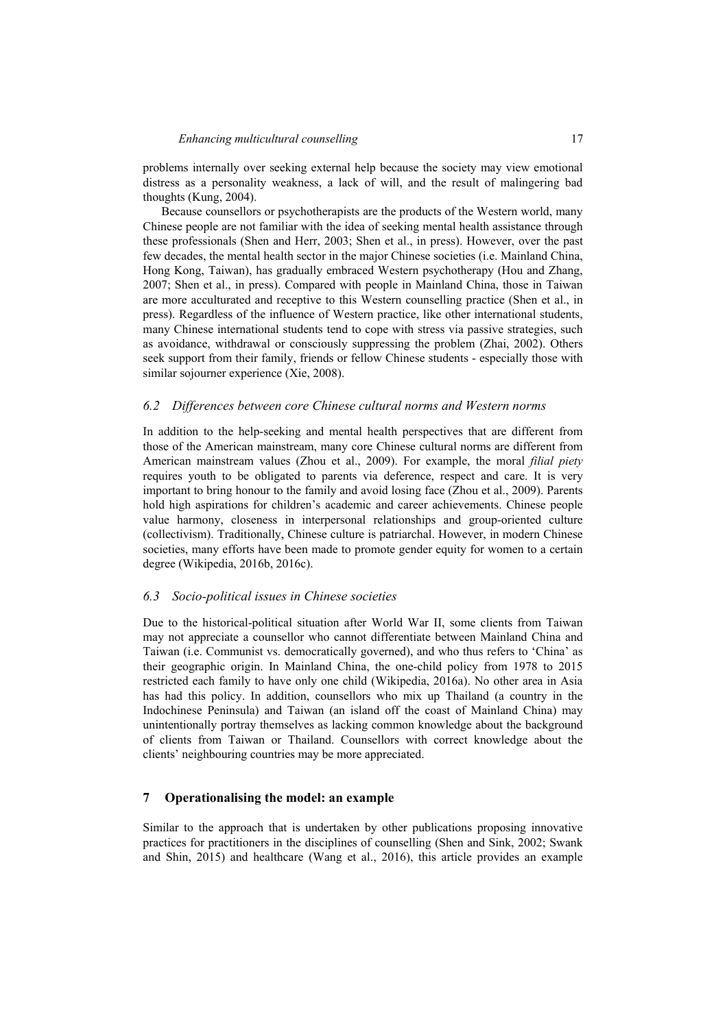problems internally over seeking external help because the society may view emotional distress as a personality weakness, a lack of will, and the result of malingering bad thoughts (Kung, 2004).

Because counsellors or psychotherapists are the products of the Western world, many Chinese people are not familiar with the idea of seeking mental health assistance through these professionals (Shen and Herr, 2003; Shen et al., in press). However, over the past few decades, the mental health sector in the major Chinese societies (i.e. Mainland China, Hong Kong, Taiwan), has gradually embraced Western psychotherapy (Hou and Zhang, 2007; Shen et al., in press). Compared with people in Mainland China, those in Taiwan are more acculturated and receptive to this Western counselling practice (Shen et al., in press). Regardless of the influence of Western practice, like other international students, many Chinese international students tend to cope with stress via passive strategies, such as avoidance, withdrawal or consciously suppressing the problem (Zhai, 2002). Others seek support from their family, friends or fellow Chinese students - especially those with similar sojourner experience (Xie, 2008).

#### *6.2 Differences between core Chinese cultural norms and Western norms*

In addition to the help-seeking and mental health perspectives that are different from those of the American mainstream, many core Chinese cultural norms are different from American mainstream values (Zhou et al., 2009). For example, the moral *filial piety* requires youth to be obligated to parents via deference, respect and care. It is very important to bring honour to the family and avoid losing face (Zhou et al., 2009). Parents hold high aspirations for children's academic and career achievements. Chinese people value harmony, closeness in interpersonal relationships and group-oriented culture (collectivism). Traditionally, Chinese culture is patriarchal. However, in modern Chinese societies, many efforts have been made to promote gender equity for women to a certain degree (Wikipedia, 2016b, 2016c).

#### *6.3 Socio-political issues in Chinese societies*

Due to the historical-political situation after World War II, some clients from Taiwan may not appreciate a counsellor who cannot differentiate between Mainland China and Taiwan (i.e. Communist vs. democratically governed), and who thus refers to 'China' as their geographic origin. In Mainland China, the one-child policy from 1978 to 2015 restricted each family to have only one child (Wikipedia, 2016a). No other area in Asia has had this policy. In addition, counsellors who mix up Thailand (a country in the Indochinese Peninsula) and Taiwan (an island off the coast of Mainland China) may unintentionally portray themselves as lacking common knowledge about the background of clients from Taiwan or Thailand. Counsellors with correct knowledge about the clients' neighbouring countries may be more appreciated.

## **7 Operationalising the model: an example**

Similar to the approach that is undertaken by other publications proposing innovative practices for practitioners in the disciplines of counselling (Shen and Sink, 2002; Swank and Shin, 2015) and healthcare (Wang et al., 2016), this article provides an example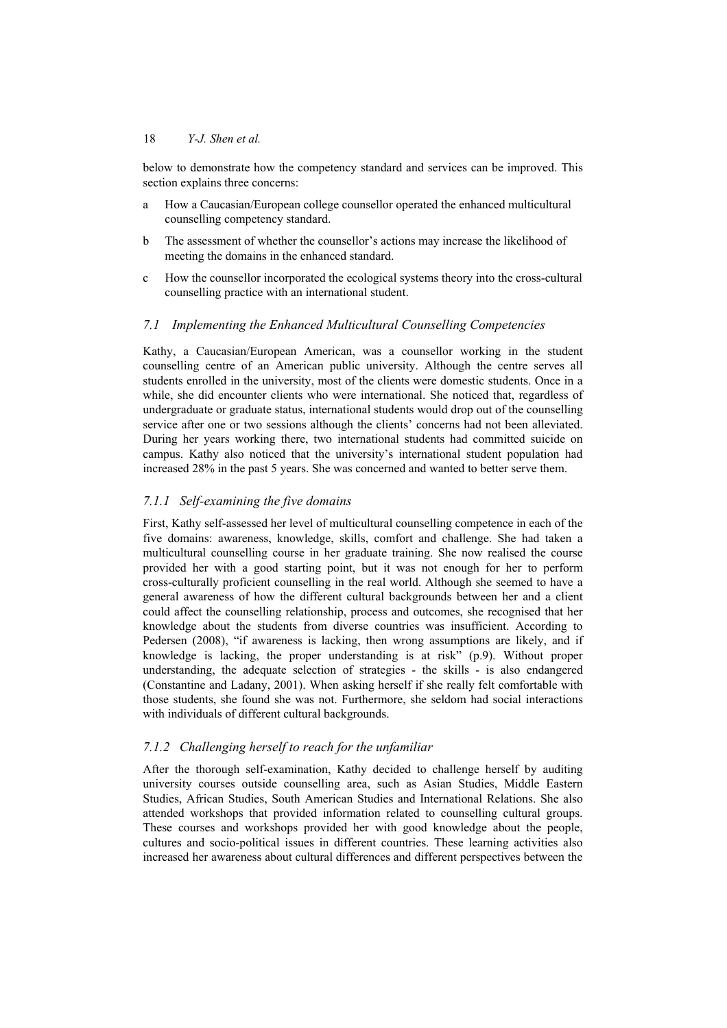below to demonstrate how the competency standard and services can be improved. This section explains three concerns:

- a How a Caucasian/European college counsellor operated the enhanced multicultural counselling competency standard.
- b The assessment of whether the counsellor's actions may increase the likelihood of meeting the domains in the enhanced standard.
- c How the counsellor incorporated the ecological systems theory into the cross-cultural counselling practice with an international student.

#### *7.1 Implementing the Enhanced Multicultural Counselling Competencies*

Kathy, a Caucasian/European American, was a counsellor working in the student counselling centre of an American public university. Although the centre serves all students enrolled in the university, most of the clients were domestic students. Once in a while, she did encounter clients who were international. She noticed that, regardless of undergraduate or graduate status, international students would drop out of the counselling service after one or two sessions although the clients' concerns had not been alleviated. During her years working there, two international students had committed suicide on campus. Kathy also noticed that the university's international student population had increased 28% in the past 5 years. She was concerned and wanted to better serve them.

## *7.1.1 Self-examining the five domains*

First, Kathy self-assessed her level of multicultural counselling competence in each of the five domains: awareness, knowledge, skills, comfort and challenge. She had taken a multicultural counselling course in her graduate training. She now realised the course provided her with a good starting point, but it was not enough for her to perform cross-culturally proficient counselling in the real world. Although she seemed to have a general awareness of how the different cultural backgrounds between her and a client could affect the counselling relationship, process and outcomes, she recognised that her knowledge about the students from diverse countries was insufficient. According to Pedersen (2008), "if awareness is lacking, then wrong assumptions are likely, and if knowledge is lacking, the proper understanding is at risk" (p.9). Without proper understanding, the adequate selection of strategies - the skills - is also endangered (Constantine and Ladany, 2001). When asking herself if she really felt comfortable with those students, she found she was not. Furthermore, she seldom had social interactions with individuals of different cultural backgrounds.

#### *7.1.2 Challenging herself to reach for the unfamiliar*

After the thorough self-examination, Kathy decided to challenge herself by auditing university courses outside counselling area, such as Asian Studies, Middle Eastern Studies, African Studies, South American Studies and International Relations. She also attended workshops that provided information related to counselling cultural groups. These courses and workshops provided her with good knowledge about the people, cultures and socio-political issues in different countries. These learning activities also increased her awareness about cultural differences and different perspectives between the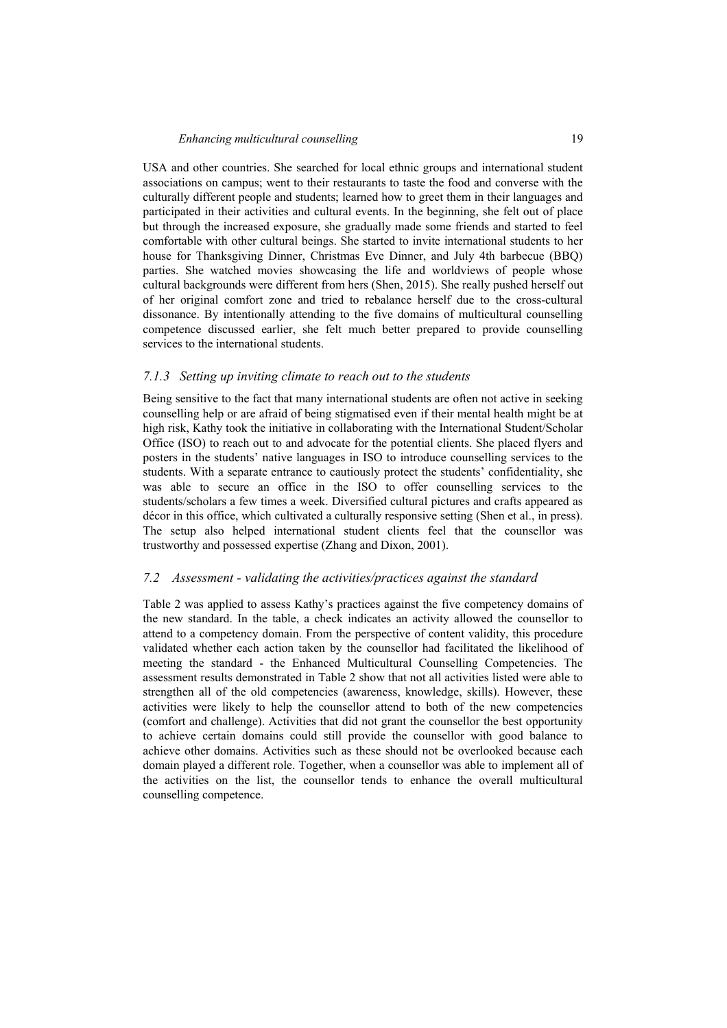USA and other countries. She searched for local ethnic groups and international student associations on campus; went to their restaurants to taste the food and converse with the culturally different people and students; learned how to greet them in their languages and participated in their activities and cultural events. In the beginning, she felt out of place but through the increased exposure, she gradually made some friends and started to feel comfortable with other cultural beings. She started to invite international students to her house for Thanksgiving Dinner, Christmas Eve Dinner, and July 4th barbecue (BBQ) parties. She watched movies showcasing the life and worldviews of people whose cultural backgrounds were different from hers (Shen, 2015). She really pushed herself out of her original comfort zone and tried to rebalance herself due to the cross-cultural dissonance. By intentionally attending to the five domains of multicultural counselling competence discussed earlier, she felt much better prepared to provide counselling services to the international students.

#### *7.1.3 Setting up inviting climate to reach out to the students*

Being sensitive to the fact that many international students are often not active in seeking counselling help or are afraid of being stigmatised even if their mental health might be at high risk, Kathy took the initiative in collaborating with the International Student/Scholar Office (ISO) to reach out to and advocate for the potential clients. She placed flyers and posters in the students' native languages in ISO to introduce counselling services to the students. With a separate entrance to cautiously protect the students' confidentiality, she was able to secure an office in the ISO to offer counselling services to the students/scholars a few times a week. Diversified cultural pictures and crafts appeared as décor in this office, which cultivated a culturally responsive setting (Shen et al., in press). The setup also helped international student clients feel that the counsellor was trustworthy and possessed expertise (Zhang and Dixon, 2001).

#### *7.2 Assessment - validating the activities/practices against the standard*

Table 2 was applied to assess Kathy's practices against the five competency domains of the new standard. In the table, a check indicates an activity allowed the counsellor to attend to a competency domain. From the perspective of content validity, this procedure validated whether each action taken by the counsellor had facilitated the likelihood of meeting the standard - the Enhanced Multicultural Counselling Competencies. The assessment results demonstrated in Table 2 show that not all activities listed were able to strengthen all of the old competencies (awareness, knowledge, skills). However, these activities were likely to help the counsellor attend to both of the new competencies (comfort and challenge). Activities that did not grant the counsellor the best opportunity to achieve certain domains could still provide the counsellor with good balance to achieve other domains. Activities such as these should not be overlooked because each domain played a different role. Together, when a counsellor was able to implement all of the activities on the list, the counsellor tends to enhance the overall multicultural counselling competence.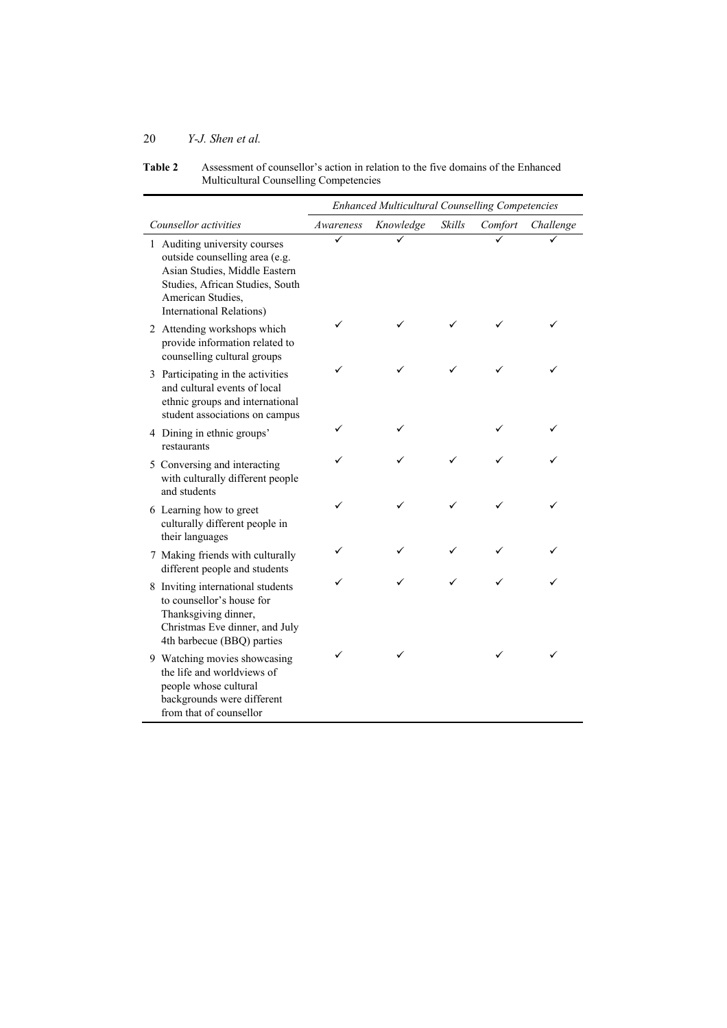| <b>Table 2</b> | Assessment of counsellor's action in relation to the five domains of the Enhanced |
|----------------|-----------------------------------------------------------------------------------|
|                | Multicultural Counselling Competencies                                            |

|                                                                                                                                                                                              | <b>Enhanced Multicultural Counselling Competencies</b> |           |        |         |           |
|----------------------------------------------------------------------------------------------------------------------------------------------------------------------------------------------|--------------------------------------------------------|-----------|--------|---------|-----------|
| Counsellor activities                                                                                                                                                                        | Awareness                                              | Knowledge | Skills | Comfort | Challenge |
| 1 Auditing university courses<br>outside counselling area (e.g.<br>Asian Studies, Middle Eastern<br>Studies, African Studies, South<br>American Studies,<br><b>International Relations</b> ) |                                                        |           |        |         |           |
| 2 Attending workshops which<br>provide information related to<br>counselling cultural groups                                                                                                 |                                                        |           |        |         |           |
| 3 Participating in the activities<br>and cultural events of local<br>ethnic groups and international<br>student associations on campus                                                       |                                                        |           |        |         |           |
| 4 Dining in ethnic groups'<br>restaurants                                                                                                                                                    |                                                        |           |        |         |           |
| 5 Conversing and interacting<br>with culturally different people<br>and students                                                                                                             |                                                        |           |        |         |           |
| 6 Learning how to greet<br>culturally different people in<br>their languages                                                                                                                 | ✓                                                      |           |        |         |           |
| 7 Making friends with culturally<br>different people and students                                                                                                                            |                                                        |           |        |         |           |
| 8 Inviting international students<br>to counsellor's house for<br>Thanksgiving dinner,<br>Christmas Eve dinner, and July<br>4th barbecue (BBQ) parties                                       |                                                        |           |        |         |           |
| 9 Watching movies showcasing<br>the life and worldviews of<br>people whose cultural<br>backgrounds were different<br>from that of counsellor                                                 |                                                        |           |        |         |           |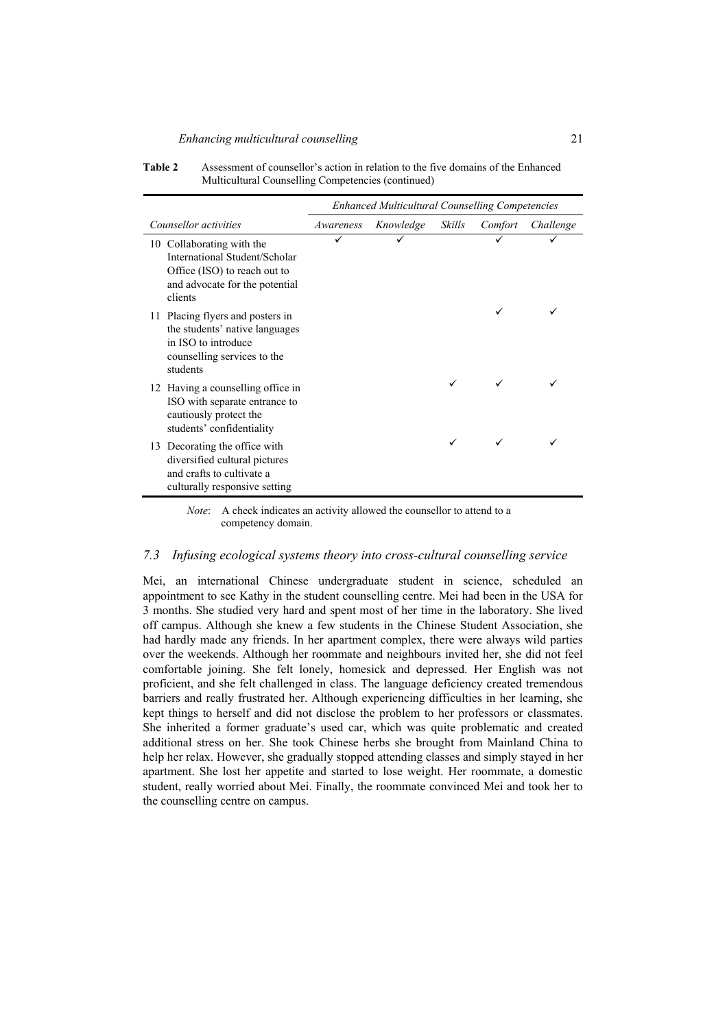| Table 2 | Assessment of counsellor's action in relation to the five domains of the Enhanced |
|---------|-----------------------------------------------------------------------------------|
|         | Multicultural Counselling Competencies (continued)                                |

|                                                                                                                                         | <b>Enhanced Multicultural Counselling Competencies</b> |           |        |         |           |
|-----------------------------------------------------------------------------------------------------------------------------------------|--------------------------------------------------------|-----------|--------|---------|-----------|
| Counsellor activities                                                                                                                   | Awareness                                              | Knowledge | Skills | Comfort | Challenge |
| 10 Collaborating with the<br>International Student/Scholar<br>Office (ISO) to reach out to<br>and advocate for the potential<br>clients |                                                        |           |        |         |           |
| 11 Placing flyers and posters in<br>the students' native languages<br>in ISO to introduce<br>counselling services to the<br>students    |                                                        |           |        |         |           |
| 12 Having a counselling office in<br>ISO with separate entrance to<br>cautiously protect the<br>students' confidentiality               |                                                        |           |        |         |           |
| 13 Decorating the office with<br>diversified cultural pictures<br>and crafts to cultivate a<br>culturally responsive setting            |                                                        |           |        |         |           |

*Note*: A check indicates an activity allowed the counsellor to attend to a competency domain.

## *7.3 Infusing ecological systems theory into cross-cultural counselling service*

Mei, an international Chinese undergraduate student in science, scheduled an appointment to see Kathy in the student counselling centre. Mei had been in the USA for 3 months. She studied very hard and spent most of her time in the laboratory. She lived off campus. Although she knew a few students in the Chinese Student Association, she had hardly made any friends. In her apartment complex, there were always wild parties over the weekends. Although her roommate and neighbours invited her, she did not feel comfortable joining. She felt lonely, homesick and depressed. Her English was not proficient, and she felt challenged in class. The language deficiency created tremendous barriers and really frustrated her. Although experiencing difficulties in her learning, she kept things to herself and did not disclose the problem to her professors or classmates. She inherited a former graduate's used car, which was quite problematic and created additional stress on her. She took Chinese herbs she brought from Mainland China to help her relax. However, she gradually stopped attending classes and simply stayed in her apartment. She lost her appetite and started to lose weight. Her roommate, a domestic student, really worried about Mei. Finally, the roommate convinced Mei and took her to the counselling centre on campus.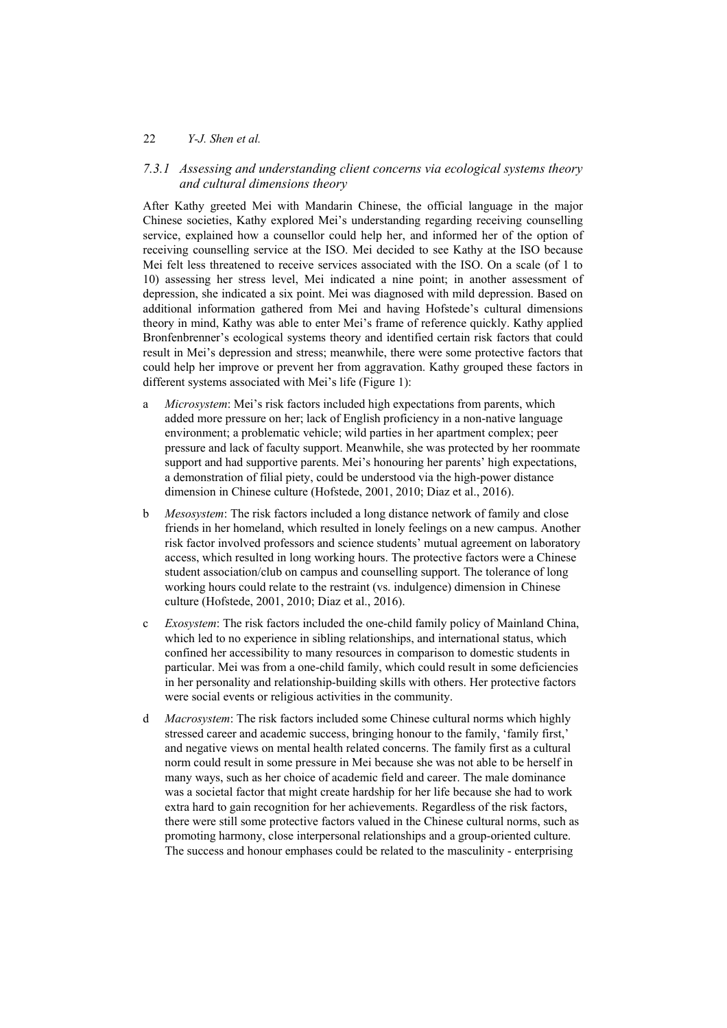## *7.3.1 Assessing and understanding client concerns via ecological systems theory and cultural dimensions theory*

After Kathy greeted Mei with Mandarin Chinese, the official language in the major Chinese societies, Kathy explored Mei's understanding regarding receiving counselling service, explained how a counsellor could help her, and informed her of the option of receiving counselling service at the ISO. Mei decided to see Kathy at the ISO because Mei felt less threatened to receive services associated with the ISO. On a scale (of 1 to 10) assessing her stress level, Mei indicated a nine point; in another assessment of depression, she indicated a six point. Mei was diagnosed with mild depression. Based on additional information gathered from Mei and having Hofstede's cultural dimensions theory in mind, Kathy was able to enter Mei's frame of reference quickly. Kathy applied Bronfenbrenner's ecological systems theory and identified certain risk factors that could result in Mei's depression and stress; meanwhile, there were some protective factors that could help her improve or prevent her from aggravation. Kathy grouped these factors in different systems associated with Mei's life (Figure 1):

- a *Microsystem*: Mei's risk factors included high expectations from parents, which added more pressure on her; lack of English proficiency in a non-native language environment; a problematic vehicle; wild parties in her apartment complex; peer pressure and lack of faculty support. Meanwhile, she was protected by her roommate support and had supportive parents. Mei's honouring her parents' high expectations, a demonstration of filial piety, could be understood via the high-power distance dimension in Chinese culture (Hofstede, 2001, 2010; Diaz et al., 2016).
- b *Mesosystem*: The risk factors included a long distance network of family and close friends in her homeland, which resulted in lonely feelings on a new campus. Another risk factor involved professors and science students' mutual agreement on laboratory access, which resulted in long working hours. The protective factors were a Chinese student association/club on campus and counselling support. The tolerance of long working hours could relate to the restraint (vs. indulgence) dimension in Chinese culture (Hofstede, 2001, 2010; Diaz et al., 2016).
- c *Exosystem*: The risk factors included the one-child family policy of Mainland China, which led to no experience in sibling relationships, and international status, which confined her accessibility to many resources in comparison to domestic students in particular. Mei was from a one-child family, which could result in some deficiencies in her personality and relationship-building skills with others. Her protective factors were social events or religious activities in the community.
- d *Macrosystem*: The risk factors included some Chinese cultural norms which highly stressed career and academic success, bringing honour to the family, 'family first,' and negative views on mental health related concerns. The family first as a cultural norm could result in some pressure in Mei because she was not able to be herself in many ways, such as her choice of academic field and career. The male dominance was a societal factor that might create hardship for her life because she had to work extra hard to gain recognition for her achievements. Regardless of the risk factors, there were still some protective factors valued in the Chinese cultural norms, such as promoting harmony, close interpersonal relationships and a group-oriented culture. The success and honour emphases could be related to the masculinity - enterprising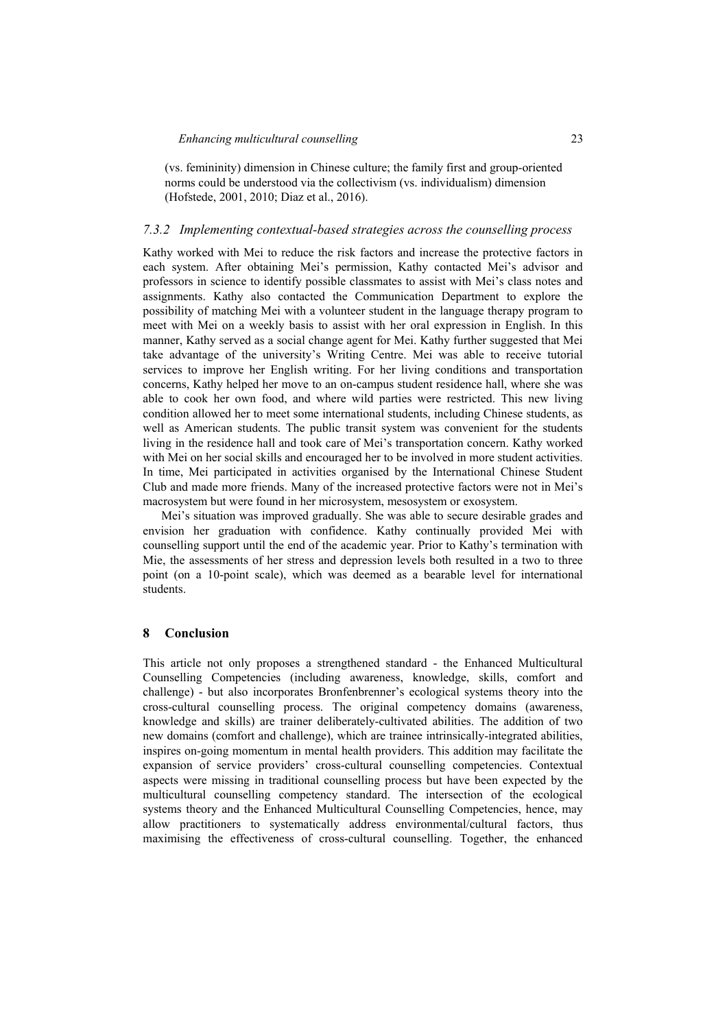(vs. femininity) dimension in Chinese culture; the family first and group-oriented norms could be understood via the collectivism (vs. individualism) dimension (Hofstede, 2001, 2010; Diaz et al., 2016).

## *7.3.2 Implementing contextual-based strategies across the counselling process*

Kathy worked with Mei to reduce the risk factors and increase the protective factors in each system. After obtaining Mei's permission, Kathy contacted Mei's advisor and professors in science to identify possible classmates to assist with Mei's class notes and assignments. Kathy also contacted the Communication Department to explore the possibility of matching Mei with a volunteer student in the language therapy program to meet with Mei on a weekly basis to assist with her oral expression in English. In this manner, Kathy served as a social change agent for Mei. Kathy further suggested that Mei take advantage of the university's Writing Centre. Mei was able to receive tutorial services to improve her English writing. For her living conditions and transportation concerns, Kathy helped her move to an on-campus student residence hall, where she was able to cook her own food, and where wild parties were restricted. This new living condition allowed her to meet some international students, including Chinese students, as well as American students. The public transit system was convenient for the students living in the residence hall and took care of Mei's transportation concern. Kathy worked with Mei on her social skills and encouraged her to be involved in more student activities. In time, Mei participated in activities organised by the International Chinese Student Club and made more friends. Many of the increased protective factors were not in Mei's macrosystem but were found in her microsystem, mesosystem or exosystem.

Mei's situation was improved gradually. She was able to secure desirable grades and envision her graduation with confidence. Kathy continually provided Mei with counselling support until the end of the academic year. Prior to Kathy's termination with Mie, the assessments of her stress and depression levels both resulted in a two to three point (on a 10-point scale), which was deemed as a bearable level for international students.

#### **8 Conclusion**

This article not only proposes a strengthened standard - the Enhanced Multicultural Counselling Competencies (including awareness, knowledge, skills, comfort and challenge) - but also incorporates Bronfenbrenner's ecological systems theory into the cross-cultural counselling process. The original competency domains (awareness, knowledge and skills) are trainer deliberately-cultivated abilities. The addition of two new domains (comfort and challenge), which are trainee intrinsically-integrated abilities, inspires on-going momentum in mental health providers. This addition may facilitate the expansion of service providers' cross-cultural counselling competencies. Contextual aspects were missing in traditional counselling process but have been expected by the multicultural counselling competency standard. The intersection of the ecological systems theory and the Enhanced Multicultural Counselling Competencies, hence, may allow practitioners to systematically address environmental/cultural factors, thus maximising the effectiveness of cross-cultural counselling. Together, the enhanced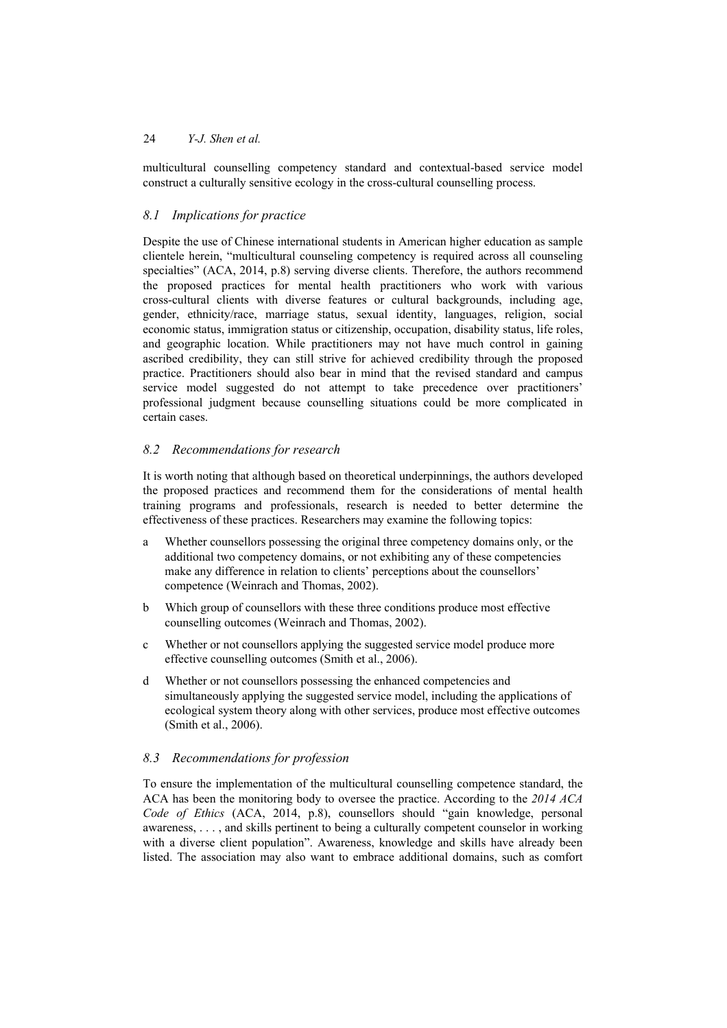multicultural counselling competency standard and contextual-based service model construct a culturally sensitive ecology in the cross-cultural counselling process.

## *8.1 Implications for practice*

Despite the use of Chinese international students in American higher education as sample clientele herein, "multicultural counseling competency is required across all counseling specialties" (ACA, 2014, p.8) serving diverse clients. Therefore, the authors recommend the proposed practices for mental health practitioners who work with various cross-cultural clients with diverse features or cultural backgrounds, including age, gender, ethnicity/race, marriage status, sexual identity, languages, religion, social economic status, immigration status or citizenship, occupation, disability status, life roles, and geographic location. While practitioners may not have much control in gaining ascribed credibility, they can still strive for achieved credibility through the proposed practice. Practitioners should also bear in mind that the revised standard and campus service model suggested do not attempt to take precedence over practitioners' professional judgment because counselling situations could be more complicated in certain cases.

## *8.2 Recommendations for research*

It is worth noting that although based on theoretical underpinnings, the authors developed the proposed practices and recommend them for the considerations of mental health training programs and professionals, research is needed to better determine the effectiveness of these practices. Researchers may examine the following topics:

- a Whether counsellors possessing the original three competency domains only, or the additional two competency domains, or not exhibiting any of these competencies make any difference in relation to clients' perceptions about the counsellors' competence (Weinrach and Thomas, 2002).
- b Which group of counsellors with these three conditions produce most effective counselling outcomes (Weinrach and Thomas, 2002).
- c Whether or not counsellors applying the suggested service model produce more effective counselling outcomes (Smith et al., 2006).
- d Whether or not counsellors possessing the enhanced competencies and simultaneously applying the suggested service model, including the applications of ecological system theory along with other services, produce most effective outcomes (Smith et al., 2006).

## *8.3 Recommendations for profession*

To ensure the implementation of the multicultural counselling competence standard, the ACA has been the monitoring body to oversee the practice. According to the *2014 ACA Code of Ethics* (ACA, 2014, p.8), counsellors should "gain knowledge, personal awareness, . . . , and skills pertinent to being a culturally competent counselor in working with a diverse client population". Awareness, knowledge and skills have already been listed. The association may also want to embrace additional domains, such as comfort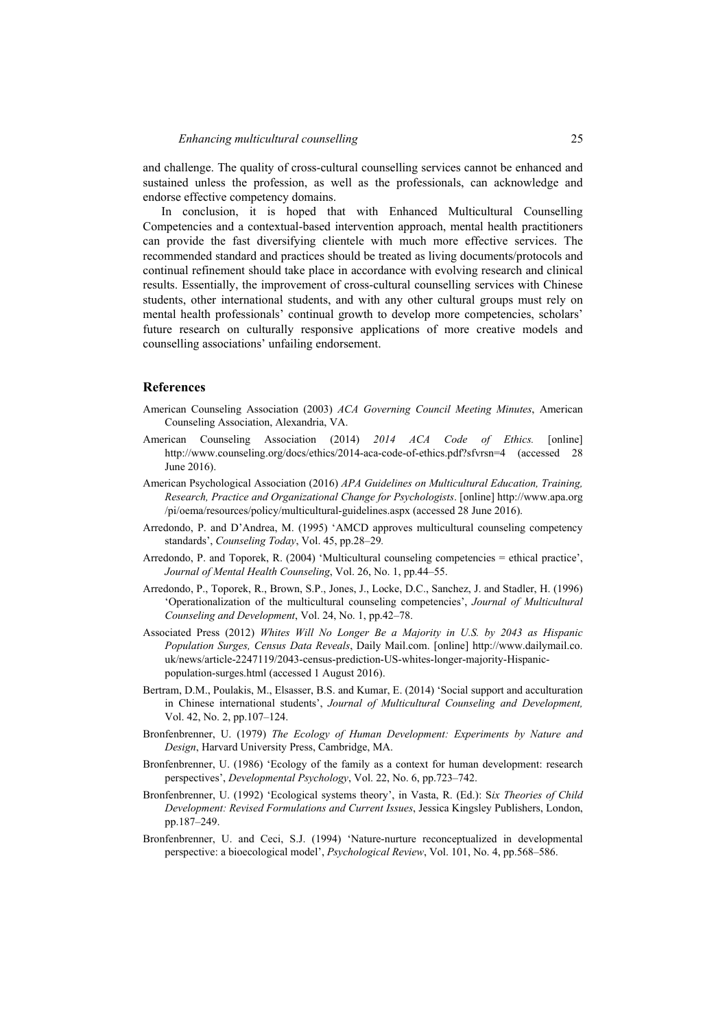and challenge. The quality of cross-cultural counselling services cannot be enhanced and sustained unless the profession, as well as the professionals, can acknowledge and endorse effective competency domains.

In conclusion, it is hoped that with Enhanced Multicultural Counselling Competencies and a contextual-based intervention approach, mental health practitioners can provide the fast diversifying clientele with much more effective services. The recommended standard and practices should be treated as living documents/protocols and continual refinement should take place in accordance with evolving research and clinical results. Essentially, the improvement of cross-cultural counselling services with Chinese students, other international students, and with any other cultural groups must rely on mental health professionals' continual growth to develop more competencies, scholars' future research on culturally responsive applications of more creative models and counselling associations' unfailing endorsement.

#### **References**

- American Counseling Association (2003) *ACA Governing Council Meeting Minutes*, American Counseling Association, Alexandria, VA.
- American Counseling Association (2014) *2014 ACA Code of Ethics.* [online] http://www.counseling.org/docs/ethics/2014-aca-code-of-ethics.pdf?sfvrsn=4 (accessed 28 June 2016).
- American Psychological Association (2016) *APA Guidelines on Multicultural Education, Training, Research, Practice and Organizational Change for Psychologists*. [online] http://www.apa.org /pi/oema/resources/policy/multicultural-guidelines.aspx (accessed 28 June 2016).
- Arredondo, P. and D'Andrea, M. (1995) 'AMCD approves multicultural counseling competency standards', *Counseling Today*, Vol. 45, pp.28–29*.*
- Arredondo, P. and Toporek, R. (2004) 'Multicultural counseling competencies = ethical practice', *Journal of Mental Health Counseling*, Vol. 26, No. 1, pp.44–55.
- Arredondo, P., Toporek, R., Brown, S.P., Jones, J., Locke, D.C., Sanchez, J. and Stadler, H. (1996) 'Operationalization of the multicultural counseling competencies', *Journal of Multicultural Counseling and Development*, Vol. 24, No. 1, pp.42–78.
- Associated Press (2012) *Whites Will No Longer Be a Majority in U.S. by 2043 as Hispanic Population Surges, Census Data Reveals*, Daily Mail.com. [online] http://www.dailymail.co. uk/news/article-2247119/2043-census-prediction-US-whites-longer-majority-Hispanicpopulation-surges.html (accessed 1 August 2016).
- Bertram, D.M., Poulakis, M., Elsasser, B.S. and Kumar, E. (2014) 'Social support and acculturation in Chinese international students', *Journal of Multicultural Counseling and Development,* Vol. 42, No. 2, pp.107–124.
- Bronfenbrenner, U. (1979) *The Ecology of Human Development: Experiments by Nature and Design*, Harvard University Press, Cambridge, MA.
- Bronfenbrenner, U. (1986) 'Ecology of the family as a context for human development: research perspectives', *Developmental Psychology*, Vol. 22, No. 6, pp.723–742.
- Bronfenbrenner, U. (1992) 'Ecological systems theory', in Vasta, R. (Ed.): S*ix Theories of Child Development: Revised Formulations and Current Issues*, Jessica Kingsley Publishers, London, pp.187–249.
- Bronfenbrenner, U. and Ceci, S.J. (1994) 'Nature-nurture reconceptualized in developmental perspective: a bioecological model', *Psychological Review*, Vol. 101, No. 4, pp.568–586.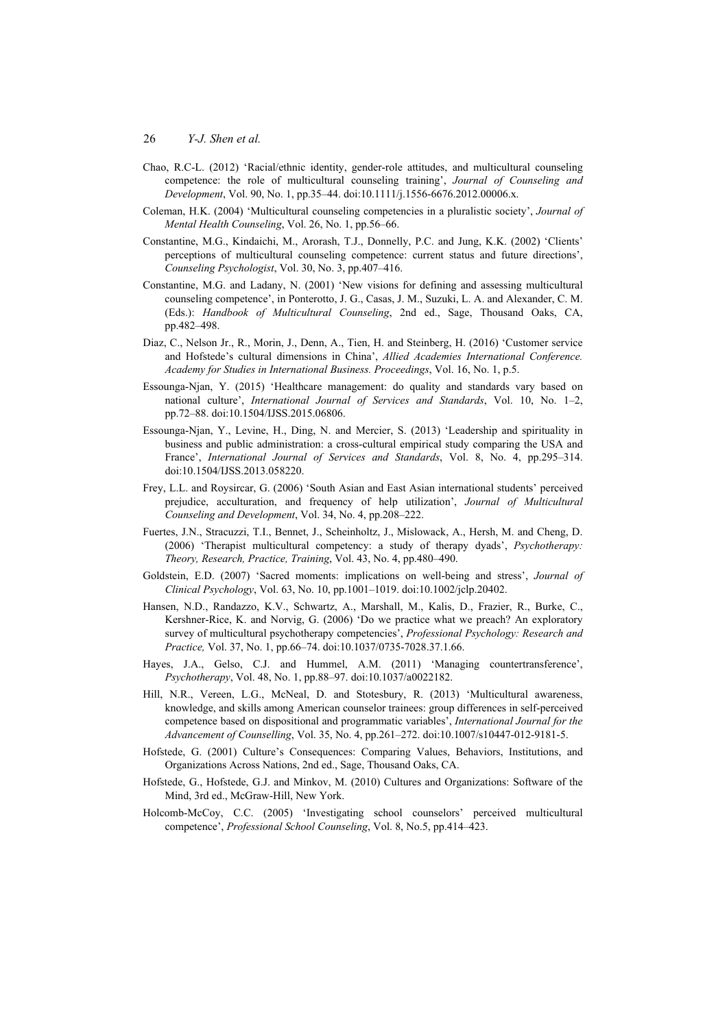- Chao, R.C-L. (2012) 'Racial/ethnic identity, gender-role attitudes, and multicultural counseling competence: the role of multicultural counseling training', *Journal of Counseling and Development*, Vol. 90, No. 1, pp.35–44. doi:10.1111/j.1556-6676.2012.00006.x.
- Coleman, H.K. (2004) 'Multicultural counseling competencies in a pluralistic society', *Journal of Mental Health Counseling*, Vol. 26, No. 1, pp.56–66.
- Constantine, M.G., Kindaichi, M., Arorash, T.J., Donnelly, P.C. and Jung, K.K. (2002) 'Clients' perceptions of multicultural counseling competence: current status and future directions', *Counseling Psychologist*, Vol. 30, No. 3, pp.407–416.
- Constantine, M.G. and Ladany, N. (2001) 'New visions for defining and assessing multicultural counseling competence', in Ponterotto, J. G., Casas, J. M., Suzuki, L. A. and Alexander, C. M. (Eds.): *Handbook of Multicultural Counseling*, 2nd ed., Sage, Thousand Oaks, CA, pp.482–498.
- Diaz, C., Nelson Jr., R., Morin, J., Denn, A., Tien, H. and Steinberg, H. (2016) 'Customer service and Hofstede's cultural dimensions in China', *Allied Academies International Conference. Academy for Studies in International Business. Proceedings*, Vol. 16, No. 1, p.5.
- Essounga-Njan, Y. (2015) 'Healthcare management: do quality and standards vary based on national culture', *International Journal of Services and Standards*, Vol. 10, No. 1–2, pp.72–88. doi:10.1504/IJSS.2015.06806.
- Essounga-Njan, Y., Levine, H., Ding, N. and Mercier, S. (2013) 'Leadership and spirituality in business and public administration: a cross-cultural empirical study comparing the USA and France', *International Journal of Services and Standards*, Vol. 8, No. 4, pp.295–314. doi:10.1504/IJSS.2013.058220.
- Frey, L.L. and Roysircar, G. (2006) 'South Asian and East Asian international students' perceived prejudice, acculturation, and frequency of help utilization', *Journal of Multicultural Counseling and Development*, Vol. 34, No. 4, pp.208–222.
- Fuertes, J.N., Stracuzzi, T.I., Bennet, J., Scheinholtz, J., Mislowack, A., Hersh, M. and Cheng, D. (2006) 'Therapist multicultural competency: a study of therapy dyads', *Psychotherapy: Theory, Research, Practice, Training*, Vol. 43, No. 4, pp.480–490.
- Goldstein, E.D. (2007) 'Sacred moments: implications on well-being and stress', *Journal of Clinical Psychology*, Vol. 63, No. 10, pp.1001–1019. doi:10.1002/jclp.20402.
- Hansen, N.D., Randazzo, K.V., Schwartz, A., Marshall, M., Kalis, D., Frazier, R., Burke, C., Kershner-Rice, K. and Norvig, G. (2006) 'Do we practice what we preach? An exploratory survey of multicultural psychotherapy competencies', *Professional Psychology: Research and Practice,* Vol. 37, No. 1, pp.66–74. doi:10.1037/0735-7028.37.1.66.
- Hayes, J.A., Gelso, C.J. and Hummel, A.M. (2011) 'Managing countertransference', *Psychotherapy*, Vol. 48, No. 1, pp.88–97. doi:10.1037/a0022182.
- Hill, N.R., Vereen, L.G., McNeal, D. and Stotesbury, R. (2013) 'Multicultural awareness, knowledge, and skills among American counselor trainees: group differences in self-perceived competence based on dispositional and programmatic variables', *International Journal for the Advancement of Counselling*, Vol. 35, No. 4, pp.261–272. doi:10.1007/s10447-012-9181-5.
- Hofstede, G. (2001) Culture's Consequences: Comparing Values, Behaviors, Institutions, and Organizations Across Nations, 2nd ed., Sage, Thousand Oaks, CA.
- Hofstede, G., Hofstede, G.J. and Minkov, M. (2010) Cultures and Organizations: Software of the Mind, 3rd ed., McGraw-Hill, New York.
- Holcomb-McCoy, C.C. (2005) 'Investigating school counselors' perceived multicultural competence', *Professional School Counseling*, Vol. 8, No.5, pp.414–423.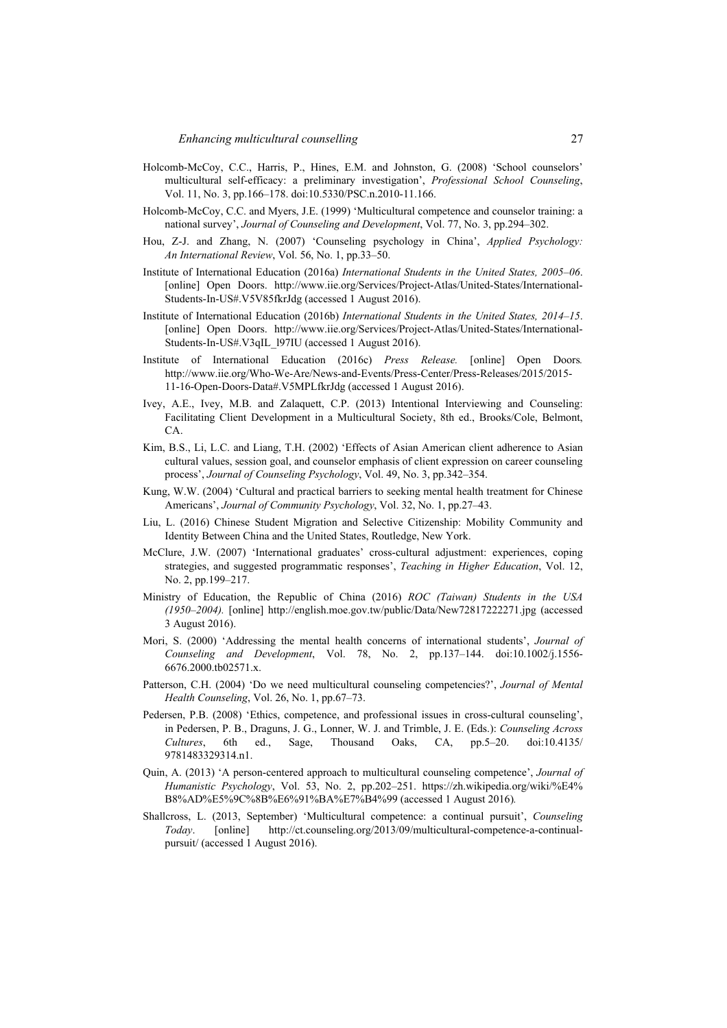- Holcomb-McCoy, C.C., Harris, P., Hines, E.M. and Johnston, G. (2008) 'School counselors' multicultural self-efficacy: a preliminary investigation', *Professional School Counseling*, Vol. 11, No. 3, pp.166–178. doi:10.5330/PSC.n.2010-11.166.
- Holcomb-McCoy, C.C. and Myers, J.E. (1999) 'Multicultural competence and counselor training: a national survey', *Journal of Counseling and Development*, Vol. 77, No. 3, pp.294–302.
- Hou, Z-J. and Zhang, N. (2007) 'Counseling psychology in China', *Applied Psychology: An International Review*, Vol. 56, No. 1, pp.33–50.
- Institute of International Education (2016a) *International Students in the United States, 2005–06*. [online] Open Doors. http://www.iie.org/Services/Project-Atlas/United-States/International-Students-In-US#.V5V85fkrJdg (accessed 1 August 2016).
- Institute of International Education (2016b) *International Students in the United States, 2014–15*. [online] Open Doors. http://www.iie.org/Services/Project-Atlas/United-States/International-Students-In-US#.V3qIL\_197IU (accessed 1 August 2016).
- Institute of International Education (2016c) *Press Release.* [online] Open Doors*.* http://www.iie.org/Who-We-Are/News-and-Events/Press-Center/Press-Releases/2015/2015- 11-16-Open-Doors-Data#.V5MPLfkrJdg (accessed 1 August 2016).
- Ivey, A.E., Ivey, M.B. and Zalaquett, C.P. (2013) Intentional Interviewing and Counseling: Facilitating Client Development in a Multicultural Society, 8th ed., Brooks/Cole, Belmont, CA.
- Kim, B.S., Li, L.C. and Liang, T.H. (2002) 'Effects of Asian American client adherence to Asian cultural values, session goal, and counselor emphasis of client expression on career counseling process', *Journal of Counseling Psychology*, Vol. 49, No. 3, pp.342–354.
- Kung, W.W. (2004) 'Cultural and practical barriers to seeking mental health treatment for Chinese Americans', *Journal of Community Psychology*, Vol. 32, No. 1, pp.27–43.
- Liu, L. (2016) Chinese Student Migration and Selective Citizenship: Mobility Community and Identity Between China and the United States, Routledge, New York.
- McClure, J.W. (2007) 'International graduates' cross-cultural adjustment: experiences, coping strategies, and suggested programmatic responses', *Teaching in Higher Education*, Vol. 12, No. 2, pp.199–217.
- Ministry of Education, the Republic of China (2016) *ROC (Taiwan) Students in the USA (1950–2004).* [online] http://english.moe.gov.tw/public/Data/New72817222271.jpg (accessed 3 August 2016).
- Mori, S. (2000) 'Addressing the mental health concerns of international students', *Journal of Counseling and Development*, Vol. 78, No. 2, pp.137–144. doi:10.1002/j.1556- 6676.2000.tb02571.x.
- Patterson, C.H. (2004) 'Do we need multicultural counseling competencies?', *Journal of Mental Health Counseling*, Vol. 26, No. 1, pp.67–73.
- Pedersen, P.B. (2008) 'Ethics, competence, and professional issues in cross-cultural counseling', in Pedersen, P. B., Draguns, J. G., Lonner, W. J. and Trimble, J. E. (Eds.): *Counseling Across Cultures*, 6th ed., Sage, Thousand Oaks, CA, pp.5–20. doi:10.4135/ 9781483329314.n1.
- Quin, A. (2013) 'A person-centered approach to multicultural counseling competence', *Journal of Humanistic Psychology*, Vol. 53, No. 2, pp.202–251. https://zh.wikipedia.org/wiki/%E4% B8%AD%E5%9C%8B%E6%91%BA%E7%B4%99 (accessed 1 August 2016)*.*
- Shallcross, L. (2013, September) 'Multicultural competence: a continual pursuit', *Counseling Today*. [online] http://ct.counseling.org/2013/09/multicultural-competence-a-continualpursuit/ (accessed 1 August 2016).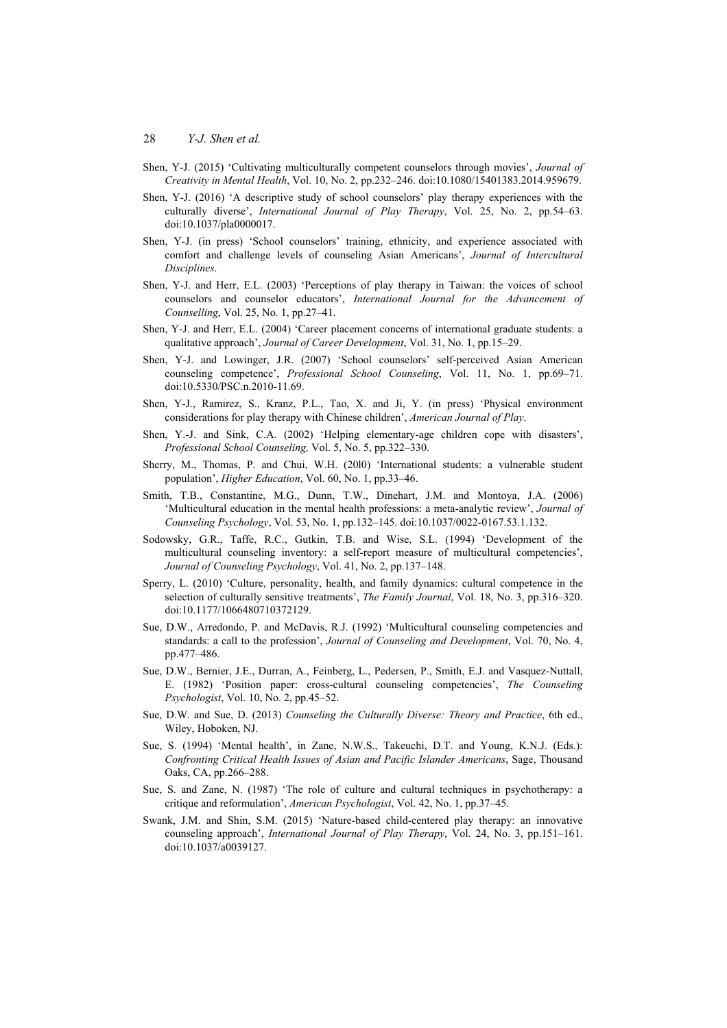- Shen, Y-J. (2015) 'Cultivating multiculturally competent counselors through movies', *Journal of Creativity in Mental Health*, Vol. 10, No. 2, pp.232–246. doi:10.1080/15401383.2014.959679.
- Shen, Y-J. (2016) 'A descriptive study of school counselors' play therapy experiences with the culturally diverse', *International Journal of Play Therapy*, Vol. 25, No. 2, pp.54–63. doi:10.1037/pla0000017.
- Shen, Y-J. (in press) 'School counselors' training, ethnicity, and experience associated with comfort and challenge levels of counseling Asian Americans', *Journal of Intercultural Disciplines*.
- Shen, Y-J. and Herr, E.L. (2003) 'Perceptions of play therapy in Taiwan: the voices of school counselors and counselor educators', *International Journal for the Advancement of Counselling*, Vol. 25, No. 1, pp.27–41.
- Shen, Y-J. and Herr, E.L. (2004) 'Career placement concerns of international graduate students: a qualitative approach', *Journal of Career Development*, Vol. 31, No. 1, pp.15–29.
- Shen, Y-J. and Lowinger, J.R. (2007) 'School counselors' self-perceived Asian American counseling competence', *Professional School Counseling*, Vol. 11, No. 1, pp.69–71. doi:10.5330/PSC.n.2010-11.69.
- Shen, Y-J., Ramirez, S., Kranz, P.L., Tao, X. and Ji, Y. (in press) 'Physical environment considerations for play therapy with Chinese children', *American Journal of Play*.
- Shen, Y.-J. and Sink, C.A. (2002) 'Helping elementary-age children cope with disasters', *Professional School Counseling,* Vol. 5, No. 5, pp.322–330.
- Sherry, M., Thomas, P. and Chui, W.H. (20l0) 'International students: a vulnerable student population', *Higher Education*, Vol. 60, No. 1, pp.33–46.
- Smith, T.B., Constantine, M.G., Dunn, T.W., Dinehart, J.M. and Montoya, J.A. (2006) 'Multicultural education in the mental health professions: a meta-analytic review', *Journal of Counseling Psychology*, Vol. 53, No. 1, pp.132–145. doi:10.1037/0022-0167.53.1.132.
- Sodowsky, G.R., Taffe, R.C., Gutkin, T.B. and Wise, S.L. (1994) 'Development of the multicultural counseling inventory: a self-report measure of multicultural competencies', *Journal of Counseling Psychology*, Vol. 41, No. 2, pp.137–148.
- Sperry, L. (2010) 'Culture, personality, health, and family dynamics: cultural competence in the selection of culturally sensitive treatments', *The Family Journal*, Vol. 18, No. 3, pp.316–320. doi:10.1177/1066480710372129.
- Sue, D.W., Arredondo, P. and McDavis, R.J. (1992) 'Multicultural counseling competencies and standards: a call to the profession', *Journal of Counseling and Development*, Vol. 70, No. 4, pp.477–486.
- Sue, D.W., Bernier, J.E., Durran, A., Feinberg, L., Pedersen, P., Smith, E.J. and Vasquez-Nuttall, E. (1982) 'Position paper: cross-cultural counseling competencies', *The Counseling Psychologist*, Vol. 10, No. 2, pp.45–52.
- Sue, D.W. and Sue, D. (2013) *Counseling the Culturally Diverse: Theory and Practice*, 6th ed., Wiley, Hoboken, NJ.
- Sue, S. (1994) 'Mental health', in Zane, N.W.S., Takeuchi, D.T. and Young, K.N.J. (Eds.): *Confronting Critical Health Issues of Asian and Pacific Islander Americans*, Sage, Thousand Oaks, CA, pp.266–288.
- Sue, S. and Zane, N. (1987) 'The role of culture and cultural techniques in psychotherapy: a critique and reformulation', *American Psychologist*, Vol. 42, No. 1, pp.37–45.
- Swank, J.M. and Shin, S.M. (2015) 'Nature-based child-centered play therapy: an innovative counseling approach', *International Journal of Play Therapy*, Vol. 24, No. 3, pp.151–161. doi:10.1037/a0039127.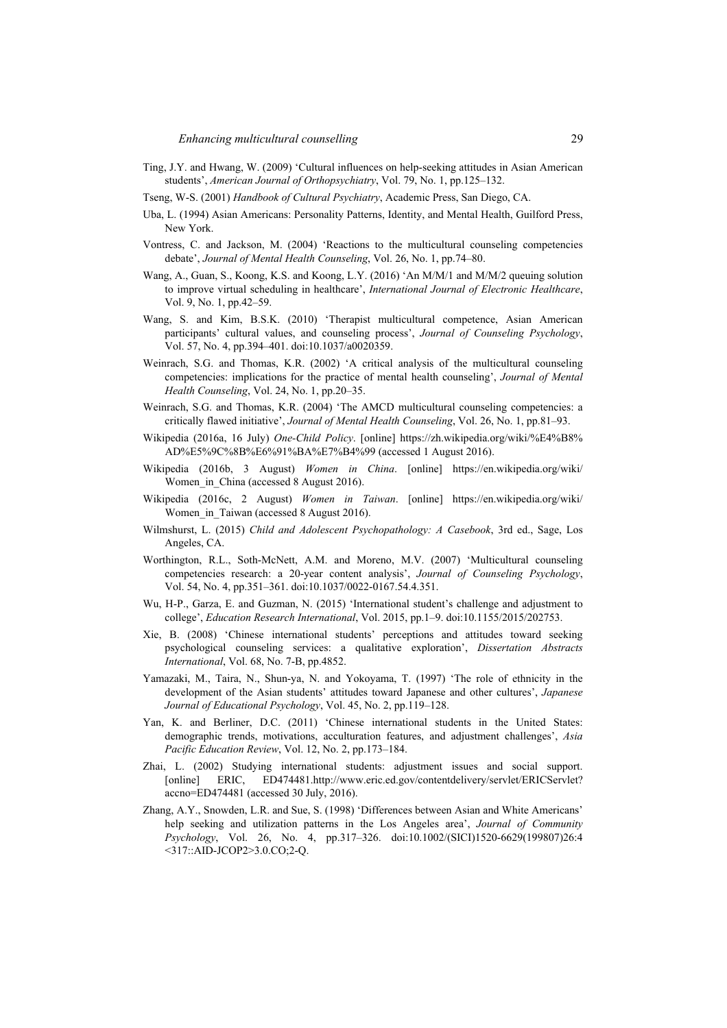- Ting, J.Y. and Hwang, W. (2009) 'Cultural influences on help-seeking attitudes in Asian American students', *American Journal of Orthopsychiatry*, Vol. 79, No. 1, pp.125–132.
- Tseng, W-S. (2001) *Handbook of Cultural Psychiatry*, Academic Press, San Diego, CA.
- Uba, L. (1994) Asian Americans: Personality Patterns, Identity, and Mental Health, Guilford Press, New York.
- Vontress, C. and Jackson, M. (2004) 'Reactions to the multicultural counseling competencies debate', *Journal of Mental Health Counseling*, Vol. 26, No. 1, pp.74–80.
- Wang, A., Guan, S., Koong, K.S. and Koong, L.Y. (2016) 'An M/M/1 and M/M/2 queuing solution to improve virtual scheduling in healthcare', *International Journal of Electronic Healthcare*, Vol. 9, No. 1, pp.42–59.
- Wang, S. and Kim, B.S.K. (2010) 'Therapist multicultural competence, Asian American participants' cultural values, and counseling process', *Journal of Counseling Psychology*, Vol. 57, No. 4, pp.394–401. doi:10.1037/a0020359.
- Weinrach, S.G. and Thomas, K.R. (2002) 'A critical analysis of the multicultural counseling competencies: implications for the practice of mental health counseling', *Journal of Mental Health Counseling*, Vol. 24, No. 1, pp.20–35.
- Weinrach, S.G. and Thomas, K.R. (2004) 'The AMCD multicultural counseling competencies: a critically flawed initiative', *Journal of Mental Health Counseling*, Vol. 26, No. 1, pp.81–93.
- Wikipedia (2016a, 16 July) *One-Child Policy*. [online] https://zh.wikipedia.org/wiki/%E4%B8% AD%E5%9C%8B%E6%91%BA%E7%B4%99 (accessed 1 August 2016).
- Wikipedia (2016b, 3 August) *Women in China*. [online] https://en.wikipedia.org/wiki/ Women in China (accessed 8 August 2016).
- Wikipedia (2016c, 2 August) *Women in Taiwan*. [online] https://en.wikipedia.org/wiki/ Women\_in\_Taiwan (accessed 8 August 2016).
- Wilmshurst, L. (2015) *Child and Adolescent Psychopathology: A Casebook*, 3rd ed., Sage, Los Angeles, CA.
- Worthington, R.L., Soth-McNett, A.M. and Moreno, M.V. (2007) 'Multicultural counseling competencies research: a 20-year content analysis', *Journal of Counseling Psychology*, Vol. 54, No. 4, pp.351–361. doi:10.1037/0022-0167.54.4.351.
- Wu, H-P., Garza, E. and Guzman, N. (2015) 'International student's challenge and adjustment to college', *Education Research International*, Vol. 2015, pp.1–9. doi:10.1155/2015/202753.
- Xie, B. (2008) 'Chinese international students' perceptions and attitudes toward seeking psychological counseling services: a qualitative exploration', *Dissertation Abstracts International*, Vol. 68, No. 7-B, pp.4852.
- Yamazaki, M., Taira, N., Shun-ya, N. and Yokoyama, T. (1997) 'The role of ethnicity in the development of the Asian students' attitudes toward Japanese and other cultures', *Japanese Journal of Educational Psychology*, Vol. 45, No. 2, pp.119–128.
- Yan, K. and Berliner, D.C. (2011) 'Chinese international students in the United States: demographic trends, motivations, acculturation features, and adjustment challenges', *Asia Pacific Education Review*, Vol. 12, No. 2, pp.173–184.
- Zhai, L. (2002) Studying international students: adjustment issues and social support. [online] ERIC, ED474481.http://www.eric.ed.gov/contentdelivery/servlet/ERICServlet? accno=ED474481 (accessed 30 July, 2016).
- Zhang, A.Y., Snowden, L.R. and Sue, S. (1998) 'Differences between Asian and White Americans' help seeking and utilization patterns in the Los Angeles area', *Journal of Community Psychology*, Vol. 26, No. 4, pp.317–326. doi:10.1002/(SICI)1520-6629(199807)26:4 <317::AID-JCOP2>3.0.CO;2-Q.